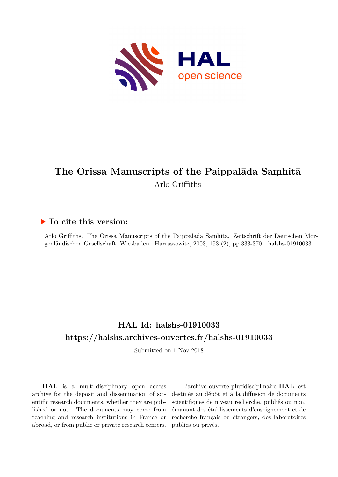

# **The Orissa Manuscripts of the Paippalāda Saṃhitā** Arlo Griffiths

# **To cite this version:**

Arlo Griffiths. The Orissa Manuscripts of the Paippalāda Saṃhitā. Zeitschrift der Deutschen Morgenländischen Gesellschaft, Wiesbaden: Harrassowitz, 2003, 153 (2), pp.333-370. halshs-01910033

# **HAL Id: halshs-01910033 <https://halshs.archives-ouvertes.fr/halshs-01910033>**

Submitted on 1 Nov 2018

**HAL** is a multi-disciplinary open access archive for the deposit and dissemination of scientific research documents, whether they are published or not. The documents may come from teaching and research institutions in France or abroad, or from public or private research centers.

L'archive ouverte pluridisciplinaire **HAL**, est destinée au dépôt et à la diffusion de documents scientifiques de niveau recherche, publiés ou non, émanant des établissements d'enseignement et de recherche français ou étrangers, des laboratoires publics ou privés.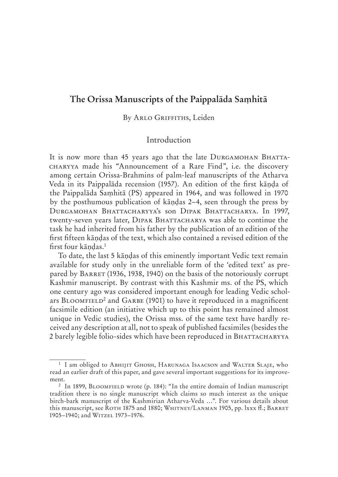# **The Orissa Manuscripts of the Paippalāda Saṃhitā**

#### By ARLO GRIFFITHS, Leiden

## Introduction

It is now more than 45 years ago that the late DURGAMOHAN BHATTA made his "Announcement of a Rare Find", i.e. the discovery among certain Orissa-Brahmins of palm-leaf manuscripts of the Atharva Veda in its Paippalāda recension (1957). An edition of the first kāṇḍa of the Paippalāda Saṃhitā (PS) appeared in 1964, and was followed in 1970 by the posthumous publication of kāṇḍas 2–4, seen through the press by DURGAMOHAN BHATTACHARYYA'S SON DIPAK BHATTACHARYA, In 1997, twenty-seven years later, DIPAK BHATTACHARYA was able to continue the task he had inherited from his father by the publication of an edition of the first fifteen kāṇḍas of the text, which also contained a revised edition of the first four kāṇḍas.1

To date, the last 5 kāṇḍas of this eminently important Vedic text remain available for study only in the unreliable form of the 'edited text' as prepared by BARRET (1936, 1938, 1940) on the basis of the notoriously corrupt Kashmir manuscript. By contrast with this Kashmir ms. of the PS, which one century ago was considered important enough for leading Vedic scholars  $B$ LOOMFIELD<sup>2</sup> and  $G$ ARBE (1901) to have it reproduced in a magnificent facsimile edition (an initiative which up to this point has remained almost unique in Vedic studies), the Orissa mss. of the same text have hardly received any description at all, not to speak of published facsimiles (besides the 2 barely legible folio-sides which have been reproduced in B

<sup>&</sup>lt;sup>1</sup> I am obliged to ABHIJIT GHOSH, HARUNAGA ISAACSON and WALTER SLAJE, who read an earlier draft of this paper, and gave several important suggestions for its improvement.

 $2$  In 1899, BLOOMFIELD wrote (p. 184): "In the entire domain of Indian manuscript tradition there is no single manuscript which claims so much interest as the unique birch-bark manuscript of the Kashmirian Atharva-Veda …". For various details about this manuscript, see ROTH 1875 and 1880; WHITNEY/LANMAN 1905, pp. lxxx ff.; BARRET 1905-1940; and WITZEL 1973-1976.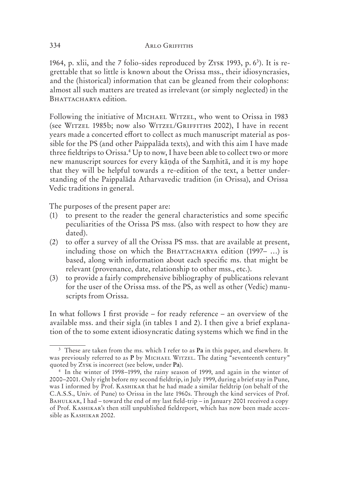1964, p. xlii, and the 7 folio-sides reproduced by ZYSK 1993, p.  $6<sup>3</sup>$ ). It is regrettable that so little is known about the Orissa mss., their idiosyncrasies, and the (historical) information that can be gleaned from their colophons: almost all such matters are treated as irrelevant (or simply neglected) in the BHATTACHARYA edition.

Following the initiative of MICHAEL WITZEL, who went to Orissa in 1983 (see WITZEL 1985b; now also WITZEL/GRIFFITHS 2002), I have in recent years made a concerted effort to collect as much manuscript material as possible for the PS (and other Paippalāda texts), and with this aim I have made three fieldtrips to Orissa.<sup>4</sup> Up to now, I have been able to collect two or more new manuscript sources for every kāṇḍa of the Saṃhitā, and it is my hope that they will be helpful towards a re-edition of the text, a better understanding of the Paippalāda Atharvavedic tradition (in Orissa), and Orissa Vedic traditions in general.

The purposes of the present paper are:

- (1) to present to the reader the general characteristics and some specific peculiarities of the Orissa PS mss. (also with respect to how they are dated).
- (2) to offer a survey of all the Orissa PS mss. that are available at present, including those on which the BHATTACHARYA edition  $(1997- ...)$  is based, along with information about each specific ms. that might be relevant (provenance, date, relationship to other mss., etc.).
- (3) to provide a fairly comprehensive bibliography of publications relevant for the user of the Orissa mss. of the PS, as well as other (Vedic) manuscripts from Orissa.

In what follows I first provide – for ready reference – an overview of the available mss. and their sigla (in tables 1 and 2). I then give a brief explanation of the to some extent idiosyncratic dating systems which we find in the

<sup>3</sup> These are taken from the ms. which I refer to as **Pa** in this paper, and elsewhere. It was previously referred to as P by MICHAEL WITZEL. The dating "seventeenth century" quoted by ZYSK is incorrect (see below, under Pa).

<sup>4</sup> In the winter of 1998–1999, the rainy season of 1999, and again in the winter of 2000–2001. Only right before my second fieldtrip, in July 1999, during a brief stay in Pune, was I informed by Prof. KASHIKAR that he had made a similar fieldtrip (on behalf of the C.A.S.S., Univ. of Pune) to Orissa in the late 1960s. Through the kind services of Prof. BAHULKAR, I had – toward the end of my last field-trip – in January 2001 received a copy of Prof. KASHIKAR's then still unpublished fieldreport, which has now been made accessible as KASHIKAR 2002.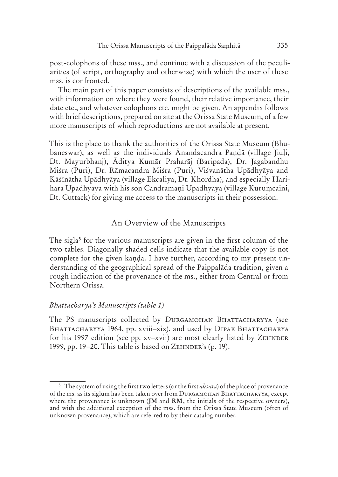post-colophons of these mss., and continue with a discussion of the peculiarities (of script, orthography and otherwise) with which the user of these mss. is confronted.

The main part of this paper consists of descriptions of the available mss., with information on where they were found, their relative importance, their date etc., and whatever colophons etc. might be given. An appendix follows with brief descriptions, prepared on site at the Orissa State Museum, of a few more manuscripts of which reproductions are not available at present.

This is the place to thank the authorities of the Orissa State Museum (Bhubaneswar), as well as the individuals Ānandacandra Paṇḍā (village Jiuḷi, Dt. Mayurbhanj), Āditya Kumār Praharāj (Baripada), Dr. Jagabandhu Miśra (Puri), Dr. Rāmacandra Miśra (Puri), Viśvanātha Upādhyāya and Kāśīnātha Upādhyāya (village Ekcaliya, Dt. Khordha), and especially Harihara Upādhyāya with his son Candramaṇi Upādhyāya (village Kuruṃcaini, Dt. Cuttack) for giving me access to the manuscripts in their possession.

#### An Overview of the Manuscripts

The sigla<sup>5</sup> for the various manuscripts are given in the first column of the two tables. Diagonally shaded cells indicate that the available copy is not complete for the given kāṇḍa. I have further, according to my present understanding of the geographical spread of the Paippalāda tradition, given a rough indication of the provenance of the ms., either from Central or from Northern Orissa.

#### *Bhattacharya's Manuscripts (table 1)*

The PS manuscripts collected by DURGAMOHAN BHATTACHARYYA (see BHATTACHARYYA 1964, pp. xviii–xix), and used by DIPAK BHATTACHARYA for his 1997 edition (see pp. xv-xvii) are most clearly listed by ZEHNDER 1999, pp. 19–20. This table is based on  $Z_{\rm E$ *HNDER's* $(p. 19).$ 

<sup>5</sup> The system of using the first two letters (or the first *akṣara*) of the place of provenance of the ms. as its siglum has been taken over from DURGAMOHAN BHATTACHARYYA, except where the provenance is unknown (**JM** and **RM**, the initials of the respective owners), and with the additional exception of the mss. from the Orissa State Museum (often of unknown provenance), which are referred to by their catalog number.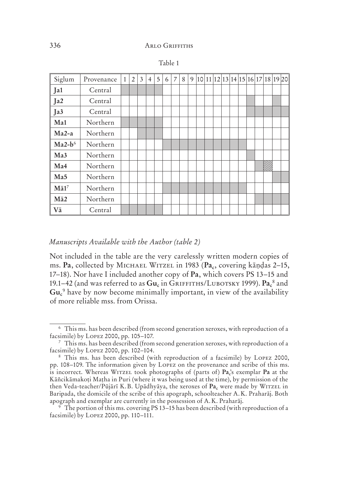| Siglum          | Provenance | $\mathbf{1}$ | $\overline{2}$ | 3 | $\overline{4}$ | 5 | 6 | $\overline{7}$ | 8 |  |  |  |  | 9 10 11 12 13 14 15 16 17 18 19 20 |  |
|-----------------|------------|--------------|----------------|---|----------------|---|---|----------------|---|--|--|--|--|------------------------------------|--|
| Ja1             | Central    |              |                |   |                |   |   |                |   |  |  |  |  |                                    |  |
| Ja2             | Central    |              |                |   |                |   |   |                |   |  |  |  |  |                                    |  |
| Ja3             | Central    |              |                |   |                |   |   |                |   |  |  |  |  |                                    |  |
| Ma1             | Northern   |              |                |   |                |   |   |                |   |  |  |  |  |                                    |  |
| $Ma2-a$         | Northern   |              |                |   |                |   |   |                |   |  |  |  |  |                                    |  |
| $Ma2-b6$        | Northern   |              |                |   |                |   |   |                |   |  |  |  |  |                                    |  |
| Ma <sub>3</sub> | Northern   |              |                |   |                |   |   |                |   |  |  |  |  |                                    |  |
| Ma4             | Northern   |              |                |   |                |   |   |                |   |  |  |  |  |                                    |  |
| Ma5             | Northern   |              |                |   |                |   |   |                |   |  |  |  |  |                                    |  |
| $M\bar{a}1^7$   | Northern   |              |                |   |                |   |   |                |   |  |  |  |  |                                    |  |
| $M\bar{a}2$     | Northern   |              |                |   |                |   |   |                |   |  |  |  |  |                                    |  |
| Vā              | Central    |              |                |   |                |   |   |                |   |  |  |  |  |                                    |  |

|--|--|

#### *Manuscripts Available with the Author (table 2)*

Not included in the table are the very carelessly written modern copies of ms. Pa, collected by MICHAEL WITZEL in 1983 (Pa<sub>c</sub>, covering kāṇḍas 2-15, 17–18). Nor have I included another copy of **Pa**, which covers PS 13–15 and 19.1–42 (and was referred to as  $Gu_c$  in GRIFFITHS/LUBOTSKY 1999).  $Pa_c^s$  and Gu<sub>c</sub><sup>9</sup> have by now become minimally important, in view of the availability of more reliable mss. from Orissa.

<sup>6</sup> This ms. has been described (from second generation xeroxes, with reproduction of a facsimile) by LOPEZ 2000, pp.  $105-107$ .

<sup>&</sup>lt;sup>7</sup> This ms. has been described (from second generation xeroxes, with reproduction of a facsimile) by LOPEZ 2000, pp. 102-104.

<sup>&</sup>lt;sup>8</sup> This ms. has been described (with reproduction of a facsimile) by LOPEZ 2000, pp. 108-109. The information given by LOPEZ on the provenance and scribe of this ms. is incorrect. Whereas WITZEL took photographs of (parts of)  $Pa_c^3$  exemplar  $Pa$  at the Kāñcikāmakoṭi Maṭha in Puri (where it was being used at the time), by permission of the then Veda-teacher/Pūjārī K.B. Upādhyāya, the xeroxes of Pa<sub>c</sub> were made by WITZEL in Baripada, the domicile of the scribe of this apograph, schoolteacher A. K. Praharāj. Both apograph and exemplar are currently in the possession of A. K. Praharāj.

<sup>9</sup> The portion of this ms. covering PS 13–15 has been described (with reproduction of a facsimile) by LOPEZ 2000, pp.  $110-111$ .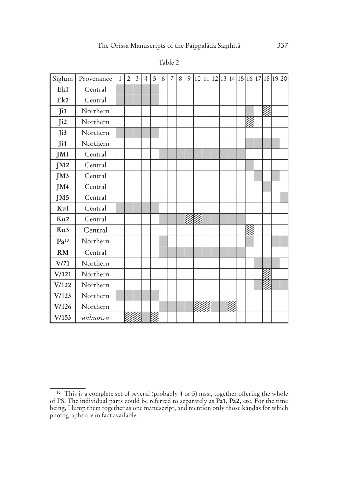| Siglum          | Provenance | $\mathbf{1}$ | $\overline{2}$ | 3 | $\overline{4}$ | 5 | 6 | $\overline{7}$ | 8 | 9 |  |  |  |  |  | 10 11 12 13 14 15 16 17 18 19 20 |
|-----------------|------------|--------------|----------------|---|----------------|---|---|----------------|---|---|--|--|--|--|--|----------------------------------|
| Ek1             | Central    |              |                |   |                |   |   |                |   |   |  |  |  |  |  |                                  |
| Ek2             | Central    |              |                |   |                |   |   |                |   |   |  |  |  |  |  |                                  |
| Ji1             | Northern   |              |                |   |                |   |   |                |   |   |  |  |  |  |  |                                  |
| Ji2             | Northern   |              |                |   |                |   |   |                |   |   |  |  |  |  |  |                                  |
| Ji3             | Northern   |              |                |   |                |   |   |                |   |   |  |  |  |  |  |                                  |
| Ji4             | Northern   |              |                |   |                |   |   |                |   |   |  |  |  |  |  |                                  |
| JM1             | Central    |              |                |   |                |   |   |                |   |   |  |  |  |  |  |                                  |
| JM <sub>2</sub> | Central    |              |                |   |                |   |   |                |   |   |  |  |  |  |  |                                  |
| JM3             | Central    |              |                |   |                |   |   |                |   |   |  |  |  |  |  |                                  |
| JM4             | Central    |              |                |   |                |   |   |                |   |   |  |  |  |  |  |                                  |
| JM <sub>5</sub> | Central    |              |                |   |                |   |   |                |   |   |  |  |  |  |  |                                  |
| Ku1             | Central    |              |                |   |                |   |   |                |   |   |  |  |  |  |  |                                  |
| Ku <sub>2</sub> | Central    |              |                |   |                |   |   |                |   |   |  |  |  |  |  |                                  |
| Ku3             | Central    |              |                |   |                |   |   |                |   |   |  |  |  |  |  |                                  |
| $Pa^{10}$       | Northern   |              |                |   |                |   |   |                |   |   |  |  |  |  |  |                                  |
| RM              | Central    |              |                |   |                |   |   |                |   |   |  |  |  |  |  |                                  |
| V/71            | Northern   |              |                |   |                |   |   |                |   |   |  |  |  |  |  |                                  |
| V/121           | Northern   |              |                |   |                |   |   |                |   |   |  |  |  |  |  |                                  |
| V/122           | Northern   |              |                |   |                |   |   |                |   |   |  |  |  |  |  |                                  |
| V/123           | Northern   |              |                |   |                |   |   |                |   |   |  |  |  |  |  |                                  |
| V/126           | Northern   |              |                |   |                |   |   |                |   |   |  |  |  |  |  |                                  |
| V/153           | unknown    |              |                |   |                |   |   |                |   |   |  |  |  |  |  |                                  |

Table 2

<sup>&</sup>lt;sup>10</sup> This is a complete set of several (probably 4 or 5) mss., together offering the whole of PS. The individual parts could be referred to separately as **Pa1**, **Pa2**, etc. For the time being, I lump them together as one manuscript, and mention only those kāṇḍas for which photographs are in fact available.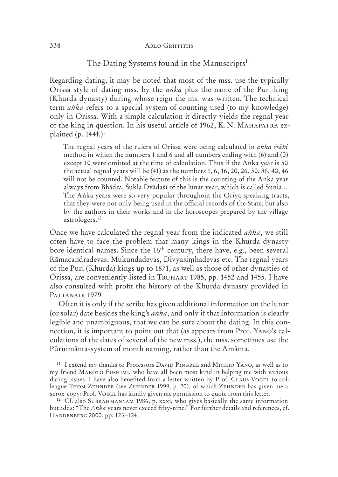# The Dating Systems found in the Manuscripts<sup>11</sup>

Regarding dating, it may be noted that most of the mss. use the typically Orissa style of dating mss. by the *aṅka* plus the name of the Puri-king (Khurda dynasty) during whose reign the ms. was written. The technical term *aṅka* refers to a special system of counting used (to my knowledge) only in Orissa. With a simple calculation it directly yields the regnal year of the king in question. In his useful article of 1962, K.N. MAHAPATRA explained (p.  $144f.$ ):

The regnal years of the rulers of Orissa were being calculated in *aṅka śrāhi* method in which the numbers 1 and 6 and all numbers ending with (6) and (0) except 10 were omitted at the time of calculation. Thus if the Aṅka year is 50 the actual regnal years will be (41) as the numbers 1, 6, 16, 20, 26, 30, 36, 40, 46 will not be counted. Notable feature of this is the counting of the Aṅka year always from Bhādra, Śukla Dvādaśī of the lunar year, which is called Sunia … The Aṅka years were so very popular throughout the Oriya speaking tracts, that they were not only being used in the official records of the State, but also by the authors in their works and in the horoscopes prepared by the village astrologers.12

Once we have calculated the regnal year from the indicated *aṅka*, we still often have to face the problem that many kings in the Khurda dynasty bore identical names. Since the 16th century, there have, e.g., been several Rāmacandradevas, Mukundadevas, Divyasiṃhadevas etc. The regnal years of the Puri (Khurda) kings up to 1871, as well as those of other dynasties of Orissa, are conveniently listed in TRUHART 1985, pp. 1452 and 1455. I have also consulted with profit the history of the Khurda dynasty provided in PATTANAIK 1979.

Often it is only if the scribe has given additional information on the lunar (or solar) date besides the king's *aṅka*, and only if that information is clearly legible and unambiguous, that we can be sure about the dating. In this connection, it is important to point out that (as appears from Prof. YANO's calculations of the dates of several of the new mss.), the mss. sometimes use the Pūrṇimānta-system of month naming, rather than the Amānta.

<sup>&</sup>lt;sup>11</sup> I extend my thanks to Professors DAVID PINGREE and MICHIO YANO, as well as to my friend MAKOTO FUSHIMI, who have all been most kind in helping me with various dating issues. I have also benefited from a letter written by Prof. CLAUS VOGEL to colleague THOM ZEHNDER (see ZEHNDER 1999, p. 20), of which ZEHNDER has given me a xerox-copy: Prof. VOGEL has kindly given me permission to quote from this letter.

<sup>&</sup>lt;sup>12</sup> Cf. also SUBRAHMANYAM 1986, p. xxxi, who gives basically the same information but adds: "The *Aṅka* years never exceed fifty-nine." For further details and references, cf. HARDENBERG 2000, pp. 123-124.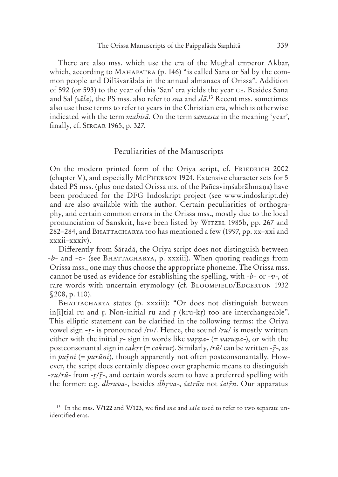There are also mss. which use the era of the Mughal emperor Akbar, which, according to MAHAPATRA (p. 146) "is called Sana or Sal by the common people and Dilīśvarābda in the annual almanacs of Orissa". Addition of 592 (or 593) to the year of this 'San' era yields the year CE. Besides Sana and Sal *(sāla)*, the PS mss. also refer to *sna* and *slā*. 13 Recent mss. sometimes also use these terms to refer to years in the Christian era, which is otherwise indicated with the term *mahisā*. On the term *samasta* in the meaning 'year', finally, cf. SIRCAR 1965, p. 327.

#### Peculiarities of the Manuscripts

On the modern printed form of the Oriya script, cf. FRIEDRICH 2002 (chapter V), and especially McPHERSON 1924. Extensive character sets for 5 dated PS mss. (plus one dated Orissa ms. of the Pañcaviṃśabrāhmaṇa) have been produced for the DFG Indoskript project (see www.indoskript.de) and are also available with the author. Certain peculiarities of orthography, and certain common errors in the Orissa mss., mostly due to the local pronunciation of Sanskrit, have been listed by WITZEL 1985b, pp. 267 and 282–284, and BHATTACHARYA too has mentioned a few (1997, pp.  $xx-xxi$  and xxxii–xxxiv).

Differently from Śāradā, the Oriya script does not distinguish between *-b-* and *-v-* (see BHATTACHARYA, p. xxxiii). When quoting readings from Orissa mss., one may thus choose the appropriate phoneme. The Orissa mss. cannot be used as evidence for establishing the spelling, with -*b-* or -*v-*, of rare words with uncertain etymology (cf. BLOOMFIELD/EDGERTON 1932 § 208, p. 110).

BHATTACHARYA states (p. xxxiii): "Or does not distinguish between in[i]tial ru and  $r$ . Non-initial ru and  $r$  (kru-k $r$ ) too are interchangeable". This elliptic statement can be clarified in the following terms: the Oriya vowel sign *--* is pronounced /*ru*/. Hence, the sound /*ru*/ is mostly written either with the initial  $r$ - sign in words like *varna*- (= *varuna*-), or with the postconsonantal sign in *cakr* (= *cakrur*). Similarly, /*rū*/ can be written *--*, as in *puṇi* (= *purūṇi*), though apparently not often postconsonantally. However, the script does certainly dispose over graphemic means to distinguish *-ru/rū*- from - $\gamma/\bar{r}$ -, and certain words seem to have a preferred spelling with the former: e.g. *dhruva*-, besides *dhva*-, *śatrūn* not *śatn*. Our apparatus

<sup>13</sup> In the mss. **V/122** and **V/123**, we find *sna* and *sāla* used to refer to two separate unidentified eras.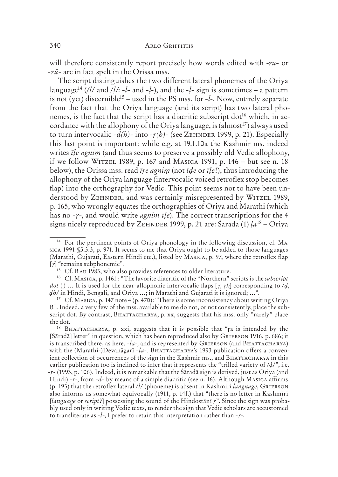will therefore consistently report precisely how words edited with -*ru-* or *-rū-* are in fact spelt in the Orissa mss.

The script distinguishes the two different lateral phonemes of the Oriya language14 (*/l/* and */ḷ/*: *-l-* and *-ḷ*-), and the *-ḷ-* sign is sometimes – a pattern is not (yet) discernible15 – used in the PS mss. for *-l*-. Now, entirely separate from the fact that the Oriya language (and its script) has two lateral phonemes, is the fact that the script has a diacritic subscript dot<sup>16</sup> which, in accordance with the allophony of the Oriya language, is (almost<sup>17</sup>) always used to turn intervocalic  $-d(h)$ - into  $-r(h)$ - (see ZEHNDER 1999, p. 21). Especially this last point is important: while e.g. at 19.1.10 a the Kashmir ms. indeed writes *īle agnim* (and thus seems to preserve a possibly old Vedic allophony, if we follow WITZEL 1989, p. 167 and MASICA 1991, p.  $146 - \text{but see n. } 18$ below), the Orissa mss. read *īṛe agniṃ* (not *īḍe* or *īḷe*!), thus introducing the allophony of the Oriya language (intervocalic voiced retroflex stop becomes flap) into the orthography for Vedic. This point seems not to have been understood by ZEHNDER, and was certainly misrepresented by WITZEL 1989, p. 165, who wrongly equates the orthographies of Oriya and Marathi (which has no *-ṛ-*, and would write *agnim īḷe*). The correct transcriptions for the 4 signs nicely reproduced by ZEHNDER 1999, p. 21 are:  $\hat{\sigma}$ aradā (1)  $la^{18}$  – Oriya

<sup>&</sup>lt;sup>14</sup> For the pertinent points of Oriya phonology in the following discussion, cf. MAsica 1991 §5.3.3, p. 97f. It seems to me that Oriya ought to be added to those languages (Marathi, Gujarati, Eastern Hindi etc.), listed by MASICA, p. 97, where the retroflex flap [ $r$ ] "remains subphonemic".

 $15$  Cf. RAU 1983, who also provides references to older literature.

<sup>&</sup>lt;sup>16</sup> Cf. MASICA, p. 146f.: "The favorite diacritic of the "Northern" scripts is the *subscript dot* (. ) … It is used for the near-allophonic intervocalic flaps [*ṛ, ṛh*] corresponding to */ḍ, ḍh/* in Hindi, Bengali, and Oriya …; in Marathi and Gujarati it is ignored; …".

<sup>&</sup>lt;sup>17</sup> Cf. MASICA, p. 147 note 4 (p. 470): "There is some inconsistency about writing Oriya Ṛ". Indeed, a very few of the mss. available to me do not, or not consistently, place the subscript dot. By contrast, BHATTACHARYA, p. xx, suggests that his mss. only "rarely" place the dot.

<sup>&</sup>lt;sup>18</sup> BHATTACHARYA, p. xxi, suggests that it is possible that "ra is intended by the [Śāradā] letter" in question, which has been reproduced also by GRIERSON 1916, p. 686; it is transcribed there, as here,  $-la$ -, and is represented by GRIERSON (and BHATTACHARYA) with the (Marathi-)Devanāgarī *-la-*. BHATTACHARYA's 1993 publication offers a convenient collection of occurrences of the sign in the Kashmir ms., and BHATTACHARYA in this earlier publication too is inclined to infer that it represents the "trilled variety of /d/", i.e. -*ṛ*- (1993, p. 106). Indeed, it is remarkable that the Śāradā sign is derived, just as Oriya (and Hindi)  $-r$ <sup>-</sup>, from  $-d$ - by means of a simple diacritic (see n. 16). Although MASICA affirms (p. 193) that the retroflex lateral */ḷ/* (phoneme) is absent in Kashmiri *language*, G also informs us somewhat equivocally (1911, p. 14f.) that "there is no letter in Kāshmīrī [*language* or *script*?] possessing the sound of the Hindostānī *ṛ*". Since the sign was probably used only in writing Vedic texts, to render the sign that Vedic scholars are accustomed to transliterate as *-ḷ-*, I prefer to retain this interpretation rather than *-ṛ-*.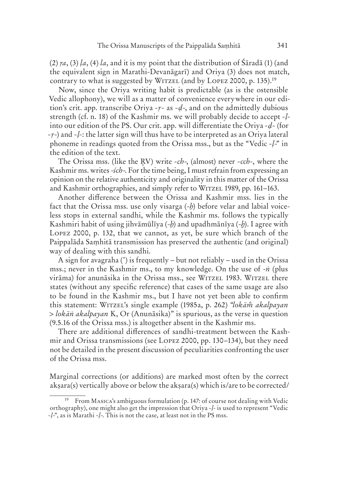$(2)$  *ra*,  $(3)$  *la*,  $(4)$  *la*, and it is my point that the distribution of  $\hat{\text{S}}$ *anda*  $(1)$  (and the equivalent sign in Marathi-Devanāgarī) and Oriya (3) does not match, contrary to what is suggested by WITZEL (and by LOPEZ 2000, p. 135).<sup>19</sup>

Now, since the Oriya writing habit is predictable (as is the ostensible Vedic allophony), we will as a matter of convenience everywhere in our edition's crit. app. transcribe Oriya *-ṛ-* as *-ḍ-*, and on the admittedly dubious strength (cf. n. 18) of the Kashmir ms. we will probably decide to accept *-ḷ*into our edition of the PS. Our crit. app. will differentiate the Oriya *-ḍ-* (for *-ṛ-*) and *-ḷ*-: the latter sign will thus have to be interpreted as an Oriya lateral phoneme in readings quoted from the Orissa mss., but as the "Vedic *-ḷ-*" in the edition of the text.

The Orissa mss. (like the RV) write *-ch-*, (almost) never *-cch-*, where the Kashmir ms. writes -*śch-*. For the time being, I must refrain from expressing an opinion on the relative authenticity and originality in this matter of the Orissa and Kashmir orthographies, and simply refer to WITZEL 1989, pp. 161–163.

Another difference between the Orissa and Kashmir mss. lies in the fact that the Orissa mss. use only visarga (-*ḥ*) before velar and labial voiceless stops in external sandhi, while the Kashmir ms. follows the typically Kashmiri habit of using jihvāmūlīya (-*ẖ*) and upadhmānīya (-*ḫ*). I agree with LOPEZ 2000, p. 132, that we cannot, as yet, be sure which branch of the Paippalāda Saṃhitā transmission has preserved the authentic (and original) way of dealing with this sandhi.

A sign for avagraha (') is frequently – but not reliably – used in the Orissa mss.; never in the Kashmir ms., to my knowledge. On the use of -*ṅ* (plus virāma) for anunāsika in the Orissa mss., see WITZEL 1983. WITZEL there states (without any specific reference) that cases of the same usage are also to be found in the Kashmir ms., but I have not yet been able to confirm this statement: WITZEL's single example (1985a, p. 262) "*lokām̃ akalpayan* > *lokāṅ akalpayan* K, Or (Anunāsika)" is spurious, as the verse in question (9.5.16 of the Orissa mss.) is altogether absent in the Kashmir ms.

There are additional differences of sandhi-treatment between the Kashmir and Orissa transmissions (see LOPEZ 2000, pp. 130–134), but they need not be detailed in the present discussion of peculiarities confronting the user of the Orissa mss.

Marginal corrections (or additions) are marked most often by the correct akṣara(s) vertically above or below the akṣara(s) which is/are to be corrected/

From MASICA's ambiguous formulation (p. 147: of course not dealing with Vedic orthography), one might also get the impression that Oriya *-ḷ*- is used to represent "Vedic *-ḷ-*", as is Marathi *-ḷ-*. This is not the case, at least not in the PS mss.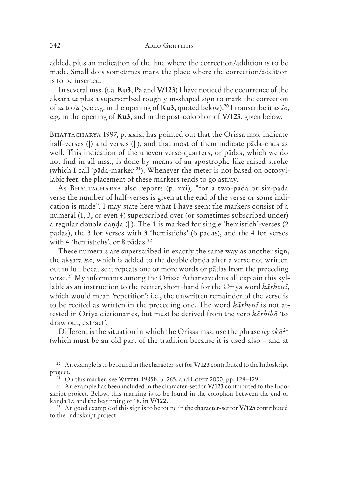added, plus an indication of the line where the correction/addition is to be made. Small dots sometimes mark the place where the correction/addition is to be inserted.

In several mss. (i.a. **Ku3**, **Pa** and **V/123**) I have noticed the occurrence of the akṣara *sa* plus a superscribed roughly m-shaped sign to mark the correction of *sa* to *śa* (see e.g. in the opening of **Ku3**, quoted below).20 I transcribe it as *ŝa*, e.g. in the opening of **Ku3**, and in the post-colophon of **V/123**, given below.

BHATTACHARYA 1997, p. xxix, has pointed out that the Orissa mss. indicate half-verses (|) and verses (||), and that most of them indicate pāda-ends as well. This indication of the uneven verse-quarters, or pādas, which we do not find in all mss., is done by means of an apostrophe-like raised stroke (which I call 'pāda-marker'21). Whenever the meter is not based on octosyllabic feet, the placement of these markers tends to go astray.

As BHATTACHARYA also reports (p. xxi), "for a two-pāda or six-pāda verse the number of half-verses is given at the end of the verse or some indication is made". I may state here what I have seen: the markers consist of a numeral (1, 3, or even 4) superscribed over (or sometimes subscribed under) a regular double danda (||). The 1 is marked for single 'hemistich'-verses (2) pādas), the 3 for verses with 3 'hemistichs' (6 pādas), and the 4 for verses with 4 'hemistichs', or 8 pādas.<sup>22</sup>

These numerals are superscribed in exactly the same way as another sign, the akṣara *kā*, which is added to the double daṇḍa after a verse not written out in full because it repeats one or more words or pādas from the preceding verse.23 My informants among the Orissa Atharvavedins all explain this syllable as an instruction to the reciter, short-hand for the Oriya word *kāṛheṇī*, which would mean 'repetition': i.e., the unwritten remainder of the verse is to be recited as written in the preceding one. The word *kāṛheṇī* is not attested in Oriya dictionaries, but must be derived from the verb *kāṛhibā* 'to draw out, extract'.

Different is the situation in which the Orissa mss. use the phrase *ity ekā*<sup>24</sup> (which must be an old part of the tradition because it is used also – and at

<sup>20</sup> An example is to be found in the character-set for **V/123** contributed to the Indoskript project.

<sup>&</sup>lt;sup>21</sup> On this marker, see WITZEL 1985b, p. 265, and LOPEZ 2000, pp. 128–129.

<sup>22</sup> An example has been included in the character-set for **V/123** contributed to the Indoskript project. Below, this marking is to be found in the colophon between the end of kāṇḍa 17, and the beginning of 18, in **V/122**.

<sup>23</sup> An good example of this sign is to be found in the character-set for **V/125** contributed to the Indoskript project.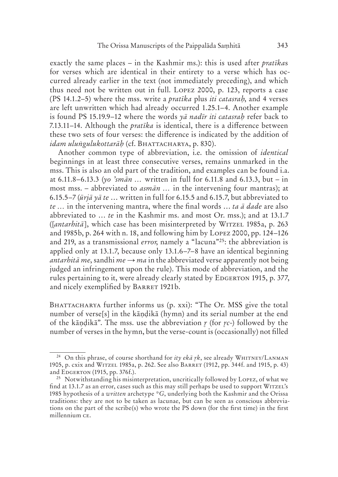exactly the same places – in the Kashmir ms.): this is used after *pratīka*s for verses which are identical in their entirety to a verse which has occurred already earlier in the text (not immediately preceding), and which thus need not be written out in full. LOPEZ 2000, p. 123, reports a case (PS 14.1.2–5) where the mss. write a *pratīka* plus *iti catasraḥ*, and 4 verses are left unwritten which had already occurred 1.25.1–4. Another example is found PS 15.19.9–12 where the words *yā nadīr iti catasraḥ* refer back to 7.13.11–14. Although the *pratīka* is identical, there is a difference between these two sets of four verses: the difference is indicated by the addition of *idam ulungulukottarāh* (cf. BHATTACHARYA, p. 830).

Another common type of abbreviation, i.e. the omission of *identical* beginnings in at least three consecutive verses, remains unmarked in the mss. This is also an old part of the tradition, and examples can be found i.a. at 6.11.8–6.13.3 (*yo 'smān …* written in full for 6.11.8 and 6.13.3, but – in most mss. – abbreviated to *asmān …* in the intervening four mantras); at 6.15.5–7 (*ūrjā yā te* … written in full for 6.15.5 and 6.15.7, but abbreviated to *te …* in the intervening mantra, where the final words … *ta ā dade* are also abbreviated to … *te* in the Kashmir ms. and most Or. mss.); and at 13.1.7 (*[antarhitā*], which case has been misinterpreted by WITZEL 1985a, p. 263) and 1985b, p. 264 with n. 18, and following him by LOPEZ 2000, pp.  $124-126$ and 219, as a transmissional *error*, namely a "lacuna"25: the abbreviation is applied only at 13.1.7, because only 13.1.6–7–8 have an identical beginning *antarhita me*, sandhi *me*  $\rightarrow$  *ma* in the abbreviated verse apparently not being judged an infringement upon the rule). This mode of abbreviation, and the rules pertaining to it, were already clearly stated by EDGERTON 1915, p. 377, and nicely exemplified by BARRET 1921b.

BHATTACHARYA further informs us (p. xxi): "The Or. MSS give the total number of verse[s] in the kāṇḍikā (hymn) and its serial number at the end of the kāṇḍikā". The mss. use the abbreviation  $r$  (for  $rc$ -) followed by the number of verses in the hymn, but the verse-count is (occasionally) not filled

<sup>&</sup>lt;sup>24</sup> On this phrase, of course shorthand for *ity eka rk*, see already WHITNEY/LANMAN 1905, p. cxix and WITZEL 1985a, p. 262. See also BARRET (1912, pp. 344f. and 1915, p. 43) and EDGERTON (1915, pp. 376f.).

<sup>&</sup>lt;sup>25</sup> Notwithstanding his misinterpretation, uncritically followed by LOPEZ, of what we find at 13.1.7 as an error, cases such as this may still perhaps be used to support WITZEL's 1985 hypothesis of a *written* archetype *\*G*, underlying both the Kashmir and the Orissa traditions: they are not to be taken as lacunae, but can be seen as conscious abbreviations on the part of the scribe(s) who wrote the PS down (for the first time) in the first millennium CE.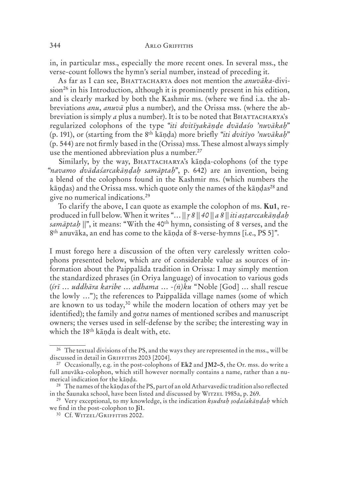in, in particular mss., especially the more recent ones. In several mss., the verse-count follows the hymn's serial number, instead of preceding it.

As far as I can see, BHATTACHARYA does not mention the *anuvāka*-division<sup>26</sup> in his Introduction, although it is prominently present in his edition, and is clearly marked by both the Kashmir ms. (where we find i.a. the abbreviations *anu*, *anuvā* plus a number), and the Orissa mss. (where the abbreviation is simply *a* plus a number). It is to be noted that BHATTACHARYA's regularized colophons of the type "*iti dvitīyakāṇḍe dvādaśo 'nuvākaḥ*" (p. 191), or (starting from the 8th kāṇḍa) more briefly "*iti dvitīyo 'nuvākaḥ*" (p. 544) are not firmly based in the (Orissa) mss. These almost always simply use the mentioned abbreviation plus a number.<sup>27</sup>

Similarly, by the way, BHATTACHARYA's kānda-colophons (of the type "*navamo dvādaśarcakāṇḍaḥ samāptaḥ*", p. 642) are an invention, being a blend of the colophons found in the Kashmir ms. (which numbers the kāndas) and the Orissa mss. which quote only the names of the kāndas<sup>28</sup> and give no numerical indications.29

To clarify the above, I can quote as example the colophon of ms. **Ku1**, reproduced in full below. When it writes "… *|| 8 || 40 || a 8 || iti aṣṭarccakāṇḍaḥ samāptaḥ ||*", it means: "With the 40th hymn, consisting of 8 verses, and the 8th anuvāka, an end has come to the kāṇḍa of 8-verse-hymns [i.e., PS 5]".

I must forego here a discussion of the often very carelessly written colophons presented below, which are of considerable value as sources of information about the Paippalāda tradition in Orissa: I may simply mention the standardized phrases (in Oriya language) of invocation to various gods (*śrī* … *uddhāra karibe* … *adhama* … -*(ṅ)ku* "Noble [God] … shall rescue the lowly …"); the references to Paippalāda village names (some of which are known to us today,30 while the modern location of others may yet be identified); the family and *gotra* names of mentioned scribes and manuscript owners; the verses used in self-defense by the scribe; the interesting way in which the 18<sup>th</sup> kānda is dealt with, etc.

<sup>&</sup>lt;sup>26</sup> The textual divisions of the PS, and the ways they are represented in the mss., will be discussed in detail in GRIFFITHS 2003 [2004].

<sup>27</sup> Occasionally, e.g. in the post-colophons of **Ek2** and **JM2–5**, the Or. mss. do write a full anuvāka-colophon, which still however normally contains a name, rather than a numerical indication for the kāṇḍa.

<sup>28</sup> The names of the kāṇḍas of the PS, part of an old Atharvavedic tradition also reflected in the Śaunaka school, have been listed and discussed by WITZEL 1985a, p. 269.

<sup>29</sup> Very exceptional, to my knowledge, is the indication *kṣudraḥ ṣoḍaśakāṇḍaḥ* which we find in the post-colophon to **Ji1**.

<sup>&</sup>lt;sup>30</sup> Cf. WITZEL/GRIFFITHS 2002.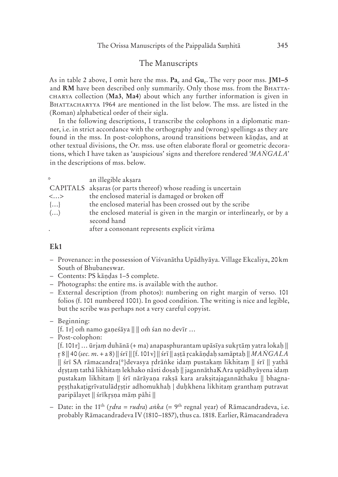#### The Manuscripts

As in table 2 above, I omit here the mss. Pa<sub>c</sub> and Gu<sub>c</sub>. The very poor mss. **JM1-5** and RM have been described only summarily. Only those mss. from the BHATTA collection (**Ma3**, **Ma4**) about which any further information is given in BHATTACHARYYA 1964 are mentioned in the list below. The mss. are listed in the (Roman) alphabetical order of their sigla.

In the following descriptions, I transcribe the colophons in a diplomatic manner, i.e. in strict accordance with the orthography and (wrong) spellings as they are found in the mss. In post-colophons, around transitions between kāṇḍas, and at other textual divisions, the Or. mss. use often elaborate floral or geometric decorations, which I have taken as 'auspicious' signs and therefore rendered '*MAṄGALA*' in the descriptions of mss. below.

| ×.                       | an illegible akşara                                                    |
|--------------------------|------------------------------------------------------------------------|
|                          | CAPITALS aksaras (or parts thereof) whose reading is uncertain         |
| $\langle \ldots \rangle$ | the enclosed material is damaged or broken off                         |
| $\{ \}$                  | the enclosed material has been crossed out by the scribe               |
| $\left(\ldots\right)$    | the enclosed material is given in the margin or interlinearly, or by a |
|                          | second hand                                                            |
|                          | after a consonant represents explicit virama                           |

#### **Ek1**

- Provenance: in the possession of Viśvanātha Upādhyāya. Village Ekcaliya, 20 km South of Bhubaneswar.
- Contents: PS kāṇḍas 1–5 complete.
- Photographs: the entire ms. is available with the author.
- External description (from photos): numbering on right margin of verso. 101 folios (f. 101 numbered 1001). In good condition. The writing is nice and legible, but the scribe was perhaps not a very careful copyist.
- Beginning:
	- $[f. 1r]$  om namo gaņeśāya  $\| \cdot \|$  om śan no devīr ...
- Post-colophon:

 $[f. 101r]$  ... ūrjam duhānā (+ ma) anapasphurantam upāsīya sukrtām yatra lokaḥ  $\parallel$  8 || 40 (*sec. m*. + a 8) || śrī || [f. 101 v] || śrī || aṣṭā cakāṇḍaḥ samāptaḥ || *MAṄGALA* || śrī SA rāmacandra{\*}devasya drāṅke idaṃ pustakaṃ likhitaṃ || śrī || yathā dṣṭaṃ tathā likhitaṃ lekhako nāsti doṣaḥ || jagannāthaKAra upādhyāyena idaṃ pustakaṃ likhitaṃ || śrī nārāyaṇa rakṣā kara arakṣitajagannāthaku || bhagnapṣṭhakaṭigrīvatulādṣṭir adhomukhaḥ | duḥkhena likhitaṃ granthaṃ putravat paripālayet || śrīkṣṇa māṃ pāhi ||

 – Date: in the 11th (*dra = rudra*) *aṅka* (= 9th regnal year) of Rāmacandradeva, i.e. probably Rāmacandradeva IV (1810–1857), thus ca. 1818. Earlier, Rāmacandradeva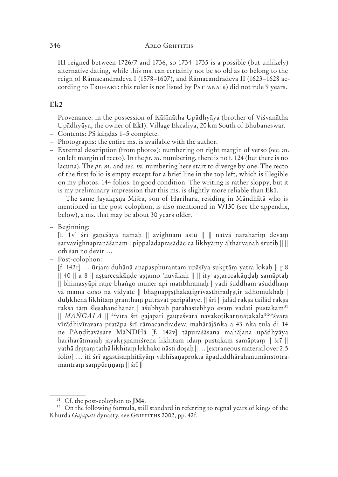#### 346 **ARLO GRIFFITHS**

III reigned between 1726/7 and 1736, so 1734–1735 is a possible (but unlikely) alternative dating, while this ms. can certainly not be so old as to belong to the reign of Rāmacandradeva I (1578–1607), and Rāmacandradeva II (1623–1628 according to TRUHART: this ruler is not listed by PATTANAIK) did not rule 9 years.

#### **Ek2**

- Provenance: in the possession of Kāśīnātha Upādhyāya (brother of Viśvanātha Upādhyāya, the owner of **Ek1**). Village Ekcaliya, 20 km South of Bhubaneswar.
- Contents: PS kāṇḍas 1–5 complete.
- Photographs: the entire ms. is available with the author.
- External description (from photos): numbering on right margin of verso (*sec. m.* on left margin of recto). In the *pr. m.* numbering, there is no f. 124 (but there is no lacuna). The *pr. m.* and *sec. m.* numbering here start to diverge by one. The recto of the first folio is empty except for a brief line in the top left, which is illegible on my photos. 144 folios. In good condition. The writing is rather sloppy, but it is my preliminary impression that this ms. is slightly more reliable than **Ek1**.

The same Jayakrsna Miśra, son of Harihara, residing in Māndhātā who is mentioned in the post-colophon, is also mentioned in **V/130** (see the appendix, below), a ms. that may be about 30 years older.

– Beginning:

[f. 1 v] śrī gaṇeśāya namaḥ || avighnam astu || || natvā narahariṃ devaṃ sarvavighnapraṇāśanaṃ | pippalādaprasādāc ca likhyāmy ā'tharvaṇaḥ śrutiḥ || || om śan no devīr ...

– Post-colophon:

[f. 142 $r$ ] ... ūrjam duhānā anapasphurantam upāsīya sukrtām yatra lokaḥ || r 8 || 40 || a 8 || aṣṭarccakāṇḍe aṣṭamo 'nuvākaḥ || || ity aṣṭarccakāṇḍaḥ samāptaḥ || bhimasyāpi raṇe bhaṅgo muner api matibhramaḥ | yadi śuddham aśuddhaṃ vā mama doṣo na vidyate || bhagnapṣṭhakaṭigrīvasthīradṣṭir adhomukhaḥ | duḥkhena likhitaṃ granthaṃ putravat paripālayet || śrī || jalād rakṣa tailād rakṣa rakṣa tāṃ śleṣabandhanāt | āśubhyaḥ parahastebhyo evaṃ vadati pustakaṃ<sup>31</sup> || *MAṄGALA* || 32vīra śrī gajapati gauṛeśvara navakoṭikarṇṇāṭakala\*\*\*śvara vīrādhivīravara pratāpa śrī rāmacandradeva mahārājāṅka a 43 ṅka tula di 14 ne PAṇḍitavāsare MāNDHā [f. 142v] tāpuraśāsana mahājana upādhyāya hariharātmajaḥ jayakṣṇamiśreṇa likhitam idaṃ pustakaṃ samāptaṃ || śrī || yathā dṣṭaṃ tathā likhitaṃ lekhako nāsti doṣaḥ || … [extraneous material over 2.5 folio] … iti śrī agastisaṃhitāyāṃ vibhīṣaṇaprokta āpaduddhārahanumānstotramantram sampūrnnam || śrī ||

<sup>31</sup> Cf. the post-colophon to **JM4**.

<sup>&</sup>lt;sup>32</sup> On the following formula, still standard in referring to regnal years of kings of the Khurda *Gajapati* dynasty, see GRIFFITHS 2002, pp. 42f.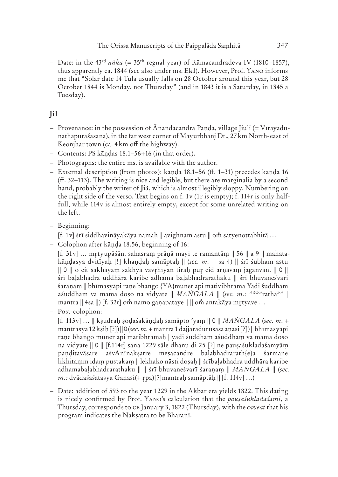– Date: in the 43rd *aṅka* (= 35th regnal year) of Rāmacandradeva IV (1810–1857), thus apparently ca. 1844 (see also under ms. Ek1). However, Prof. YANO informs me that "Solar date 14 Tula usually falls on 28 October around this year, but 28 October 1844 is Monday, not Thursday" (and in 1843 it is a Saturday, in 1845 a Tuesday).

# **Ji1**

- $-$  Provenance: in the possession of  $\bar{A}$ nandacandra Pandā, village Jiuli (= Vīrayadunāthapuraśāsana), in the far west corner of Mayurbhanj Dt., 27 km North-east of Keonjhar town (ca. 4 km off the highway).
- Contents: PS kāṇḍas 18.1–56+16 (in that order).
- Photographs: the entire ms. is available with the author.
- External description (from photos): kāṇḍa 18.1–56 (ff. 1–31) precedes kāṇḍa 16 (ff. 32–113). The writing is nice and legible, but there are marginalia by a second hand, probably the writer of **Ji3**, which is almost illegibly sloppy. Numbering on the right side of the verso. Text begins on f. 1 $v$  (1 $r$  is empty); f. 114 $r$  is only halffull, while 114y is almost entirely empty, except for some unrelated writing on the left.
- Beginning:

 $[f. 1v]$  śrī siddhavināyakāya namaḥ  $\parallel$  avighnam astu  $\parallel$  om satyenottabhitā ...

– Colophon after kāṇḍa 18.56, beginning of 16:

 $[f. 31v]$  ... mrtyupāśān. sahasram prāņā mayi te ramantām  $\| 56 \|$  a 9  $\|$  mahatakāṇḍasya dvitīyaḥ [!] khaṇḍaḥ samāptaḥ || (*sec. m.* + sa 4) || śrī śubham astu || 0 || o cit sakhāyaṃ sakhyā vavhīyān tiraḥ pu cid arṇavaṃ jaganvān. || 0 || śrī baḷabhadra uddhāra karibe adhama baḷabhadrarathaku || śrī bhuvaneśvari śaranam || bhīmasyāpi rane bhaṅgo {YA}muner api mativibhrama Yadi śuddham aśuddhaṃ vā mama doṣo na vidyate || *MAṄGALA* || (*sec. m.:* \*\*\*\*rathā\*\* | mantra  $\parallel$  4sa  $\parallel$ ) [f. 32r] om namo gaṇapataye  $\parallel$   $\parallel$  om antakāya mrtyave ...

– Post-colophon:

[f. 113 v] … || kṣudraḥ ṣoḍaśakāṇḍaḥ samāpto 'yaṃ || 0 || *MAṄGALA* (*sec. m*. + mantrasya 12 kṣiḥ [?]) || 0 (*sec.m*. + mantra 1 dajjāradurusasa aṇasi [?]) || bhīmasyāpi raṇe bhaṅgo muner api matibhramaḥ | yadi śuddham aśuddhaṃ vā mama doṣo na vidyate || 0 || [f.114 r] sana 1229 sāle dhanu di 25 [?] ne pauṣaśukladaśamyāṃ paṇḍitavāsare aśvAnīnakṣatre meṣacandre baḷabhadrarath{e}a śarmaṇe likhitaṃm idaṃ pustakaṃ || lekhako nāsti doṣaḥ || śrībaḷabhadra uddhāra karibe adhamabaḷabhadrarathaku || || śrī bhuvaneśvarī śaraṇaṃ || *MAṄGALA* || (*sec. m.:* dvādaśaśatasya Gaṇasi(+ rpa)[?]mantraḥ samāptāḥ || [f. 114v] ...)

 – Date: addition of 593 to the year 1229 in the Akbar era yields 1822. This dating is nicely confirmed by Prof. YANO's calculation that the *pausa'suklada'samī*, a Thursday, corresponds to CE January 3, 1822 (Thursday), with the *caveat* that his program indicates the Nakṣatra to be Bharaṇī.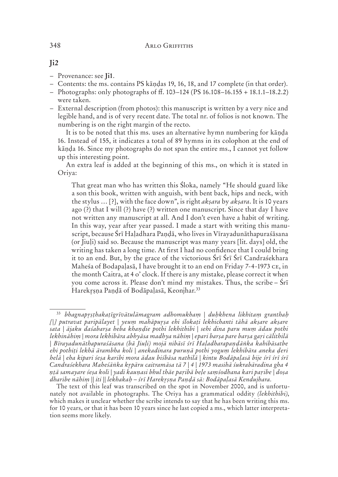#### 348 **ARLO GRIFFITHS**

- Provenance: see **Ji1**.
- Contents: the ms. contains PS kāṇḍas 19, 16, 18, and 17 complete (in that order).
- Photographs: only photographs of ff. 103–124 (PS 16.108–16.155 + 18.1.1–18.2.2) were taken.
- External description (from photos): this manuscript is written by a very nice and legible hand, and is of very recent date. The total nr. of folios is not known. The numbering is on the right margin of the recto.

 It is to be noted that this ms. uses an alternative hymn numbering for kāṇḍa 16. Instead of 155, it indicates a total of 89 hymns in its colophon at the end of kāṇḍa 16. Since my photographs do not span the entire ms., I cannot yet follow up this interesting point.

 An extra leaf is added at the beginning of this ms., on which it is stated in Oriya:

That great man who has written this Śloka, namely "He should guard like a son this book, written with anguish, with bent back, hips and neck, with the stylus … [?], with the face down", is right *akṣara* by *akṣara*. It is 10 years ago (?) that I will (?) have (?) written one manuscript. Since that day I have not written any manuscript at all. And I don't even have a habit of writing. In this way, year after year passed. I made a start with writing this manuscript, because Śrī Haḷadhara Paṇḍā, who lives in Vīrayadunāthapuraśāsana (or Jiuḷi) said so. Because the manuscript was many years [lit. days] old, the writing has taken a long time. At first I had no confidence that I could bring it to an end. But, by the grace of the victorious Śrī Śrī Śrī Candraśekhara Maheśa of Bodapaļasā, I have brought it to an end on Friday 7-4-1973 CE, in the month Caitra, at 4 o' clock. If there is any mistake, please correct it when you come across it. Please don't mind my mistakes. Thus, the scribe – Śrī Harekrṣṇa Paṇḍā of Bodāpaḷasā, Keonjhar.<sup>33</sup>

<sup>33</sup> *bhagnapṣṭhakaṭīgrīvātulāmagram adhomukhaṃ | duḥkhena likhitaṃ granthaḥ*  [|] putravat paripālayet | yeum mahāpursa ehi ślokați lekhichanti tāhā aksare aksare sata | ājaku daśabarsa heba khandie pothi lekhithibi | sehi dina paru mum ādau pothi lekhināhim | mora lekhibāra abhyāsa madhya nāhim | epari barsa pare barsa gari cālithilā | Bīrayadunāthapuraśāsana (bā Jiuli) mojā nibāsī śrī Haladharapandānka kahibāsatbe ehi pothiti lekhā ārambha koli | anekadinara purunā pothi yogum lekhibāra aneka deri helā | eha kipari śeṣa karibi mora ādau biśbāsa nathilā | kintu Bodāpaḷasā bije śrī śrī śrī Candraśekhara Maheśānka krpāru caitramāsa tā 7 | 4 | 1973 masihā śukrabāradina gha 4 nțā samayare śeṣa koli∣yadi kaunasi bhul thāe paṛibā beḷe saṃśodhana kari paṛibe | doṣa dharibe nāhim || iti || lekhakah – śrī Harekrsna Pandā sā: Bodāpalasā Kendujhara.

The text of this leaf was transcribed on the spot in November 2000, and is unfortunately not available in photographs. The Oriya has a grammatical oddity *(lekhithibi)*, which makes it unclear whether the scribe intends to say that he has been writing this ms. for 10 years, or that it has been 10 years since he last copied a ms., which latter interpretation seems more likely.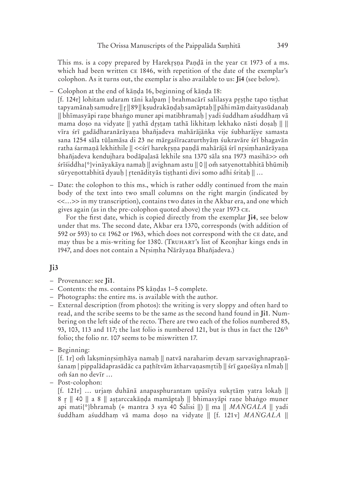This ms. is a copy prepared by Harekrsna Pandā in the year  $c_{E}$  1973 of a ms. which had been written  $CE$  1846, with repetition of the date of the exemplar's colophon. As it turns out, the exemplar is also available to us: **Ji4** (see below).

– Colophon at the end of kāṇḍa 16, beginning of kāṇḍa 18:

[f. 124r] lohitam udaram tāni kalpaṃ | brahmacārī salilasya pṣṭhe tapo tiṣṭhat tapyamānaḥ samudre || || 89 || kṣudrakāṇḍaḥ samāptaḥ || pāhi māṃ daityasūdanaḥ || bhīmasyāpi raṇe bhaṅgo muner api matibhramaḥ | yadi śuddham aśuddhaṃ vā mama doṣo na vidyate || yathā dṣṭaṃ tathā likhitaṃ lekhako nāsti doṣaḥ || || vīra śrī gadādharanārāyaṇa bhañjadeva mahārājāṅka vije śubharājye samasta sana 1254 sāla tūḷamāsa di 23 ne mārgaśīracaturthyāṃ śukravāre śrī bhagavān ratha śarmaṇā lekhithile || <<śrī harekṣṇa paṇḍā mahārājā śrī nsiṃhanārāyaṇa bhañjadeva kendujhara bodāpaḷasā lekhile sna 1370 sāla sna 1973 masihā>> o śrīśiddha{\*}vināyakāya namaḥ || avighnam astu || 0 || om satyenottabhitā bhūmiḥ sūryeṇottabhitā dyauḥ | r̥tenādityās tiṣṭhanti divi somo adhi śritaḥ || ...

 – Date: the colophon to this ms., which is rather oddly continued from the main body of the text into two small columns on the right margin (indicated by <<…>> in my transcription), contains two dates in the Akbar era, and one which gives again (as in the pre-colophon quoted above) the year 1973 CE.

 For the first date, which is copied directly from the exemplar **Ji4**, see below under that ms. The second date, Akbar era 1370, corresponds (with addition of 592 or 593) to CE 1962 or 1963, which does not correspond with the CE date, and may thus be a mis-writing for 1380. (TRUHART's list of Keonjhar kings ends in 1947, and does not contain a Nrsimha Nārāyana Bhañjadeva.)

## **Ji3**

- Provenance: see **Ji1**.
- Contents: the ms. contains PS kāṇḍas 1–5 complete.
- Photographs: the entire ms. is available with the author.
- External description (from photos): the writing is very sloppy and often hard to read, and the scribe seems to be the same as the second hand found in **Ji1**. Numbering on the left side of the recto. There are two each of the folios numbered 85, 93, 103, 113 and 117; the last folio is numbered 121, but is thus in fact the 126<sup>th</sup> folio; the folio nr. 107 seems to be miswritten 17.
- Beginning:

[f. 1r] om̃ laksminrsimhāya namah || natvā naraharim devam sarvavighnapranāśanaṃ | pippalādaprasādāc ca paṭhītvām ātharvaṇasmtiḥ || śrī gaṇeśāya nImaḥ || om śan no devīr ...

– Post-colophon:

[f. 121r] … urjaṃ duhānā anapasphurantam upāsīya suktāṃ yatra lokaḥ || 8 r || 40 || a 8 || aṣṭarccakāṇḍa mamāptaḥ || bhimasyāpi raṇe bhaṅgo muner api mati{\*}bhramaḥ (+ mantra 3 sya 40 Śalisi ||) || ma || *MAṄGALA* || yadi śuddham aśuddhaṃ vā mama doṣo na vidyate || [f. 121 v] *MAṄGALA* ||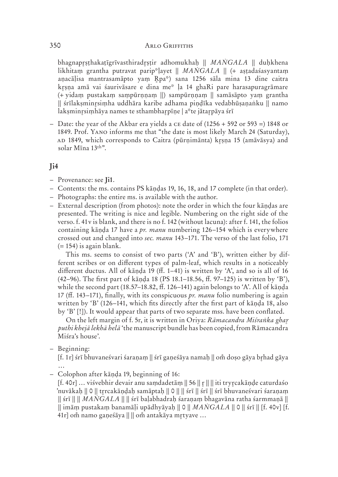#### 350 ARLO GRIFFITHS **ANUSCRIPTS**

bhagnapṣṭhakaṭīgrīvasthiradṣṭir adhomukhaḥ || *MAṄGALA* || duḥkhena likhitaṃ grantha putravat parip\*ḷayet || *MAṄGALA* || (+ aṣṭadaśasyantaṃ anacālisa mantrasamāpto yam Rpa\*) sana 1256 sāla mina 13 dine caitra krsna amā vai śaurivāsare e dina me\* la 14 ghaRi pare harasapuragrāmare (+ yidaṃ pustakaṃ saṃpūrṇṇaṃ ||) sampūrṇṇaṃ || samāsāpto yaṃ grantha || śrīlakṣminsiṃha uddhāra karibe adhama piṇḍīka vedabhūṣaṇaṅku || namo laksminrsimhāya names te sthambharpīne | a\*te jātarpāya śrī

– Date: the year of the Akbar era yields a  $CE$  date of (1256 + 592 or 593 =) 1848 or 1849. Prof. YANO informs me that "the date is most likely March 24 (Saturday), 1849, which corresponds to Caitra (pūrṇimānta) kṣṇa 15 (amāvāsya) and solar Mīna 13th".

#### **Ji4**

- Provenance: see **Ji1**.
- Contents: the ms. contains PS kāṇḍas 19, 16, 18, and 17 complete (in that order).
- Photographs: the entire ms. is available with the author.
- External description (from photos): note the order in which the four kāṇḍas are presented. The writing is nice and legible. Numbering on the right side of the verso. f. 41 v is blank, and there is no f. 142 (without lacuna): after f. 141, the folios containing kāṇḍa 17 have a *pr. manu* numbering 126–154 which is everywhere crossed out and changed into *sec. manu* 143–171. The verso of the last folio, 171  $(= 154)$  is again blank.

 This ms. seems to consist of two parts ('A' and 'B'), written either by different scribes or on different types of palm-leaf, which results in a noticeably different ductus. All of kāṇḍa 19 (ff. 1–41) is written by 'A', and so is all of 16 (42–96). The first part of kāṇḍa 18 (PS 18.1–18.56, ff. 97–125) is written by 'B'), while the second part  $(18.57-18.82, ff. 126-141)$  again belongs to 'A'. All of kanda 17 (ff. 143–171), finally, with its conspicuous *pr. manu* folio numbering is again written by 'B' (126–141, which fits directly after the first part of kāṇḍa 18, also by 'B' [!]). It would appear that parts of two separate mss. have been conflated.

 On the left margin of f. 5r, it is written in Oriya: *Rāmacandra Miśraṅka gha puthi khejā lekhā helā* 'the manuscript bundle has been copied, from Rāmacandra Miśra's house'.

– Beginning:

[f. 1r] śrī bhuvaneśvari śaraṇaṃ || śrī gaṇeśāya namaḥ || om doṣo gāya bṛhad gāya …

– Colophon after kāṇḍa 19, beginning of 16:

[f. 40 r] … viśvebhir devair anu saṃdadetāṃ || 56 || || || iti trycakāṇḍe caturdaśo 'nuvākaḥ || 0 || trcakāṇḍaḥ samāptaḥ || 0 || || śrī || śrī || śrī bhuvaneśvari śaraṇaṃ || śrī || || *MAṄGALA* || || śrī baḷabhadraḥ śaraṇaṃ bhagavāna ratha śarmmaṇā || || imāṃ pustakaṃ banamāḷi upādhyāyaḥ || 0 || *MAṄGALA* || 0 || śrī || [f. 40v] [f. 41r] om namo ganeśāya  $\| \, \|$  om antakāya mrtyave ...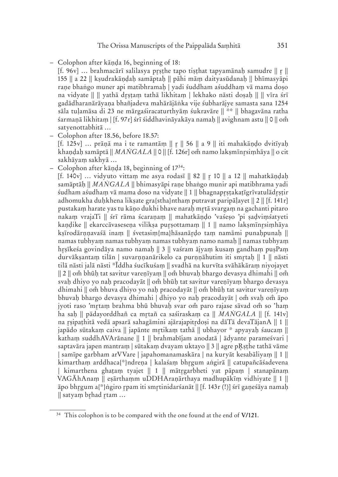- Colophon after kāṇḍa 16, beginning of 18:
	- [f. 96v] ... brahmacārī salilasya prsthe tapo tisthat tapyamānah samudre  $|| r ||$ 155 || a 22 || kṣudrakāṇḍaḥ samāptaḥ || pāhi māṃ daityasūdanaḥ || bhīmasyāpi rane bhaṅgo muner api matibhramah | yadi śuddham aśuddham vā mama doso na vidyate || || yathā drstam tathā likhitam | lekhako nāsti dosah || || vīra śrī gadādharanārāyaṇa bhañjadeva mahārājāṅka vije śubharājye samasta sana 1254 sāla tuḷamāsa di 23 ne mārgaśiracaturthyāṃ śukravāre || \*\* || bhagavāna ratha śarmaṇā likhitaṃ | [f. 97r] śrī śiddhavināyakāya namaḥ || avighnam astu || 0 || om̃ satyenottabhitā …
- Colophon after 18.56, before 18.57:  $[f. 125v]$  ... prānā ma i te ramantām  $||r||$  56  $||a 9||$  iti mahakāndo dvitīvah khaṇḍaḥ samāptā || *MANGALA* || 0 || [f. 126r] om namo lakṣmīnṛsiṃhāya || o cit sakhāyaṃ sakhyā …
- Colophon after kāṇḍa 18, beginning of 1734:
	- [f. 140 v] … vidyuto vittaṃ me asya rodasī || 82 || 10 || a 12 || mahatkāṇḍaḥ samāptāḥ || *MAṄGALA* || bhimasyāpi raṇe bhaṅgo munir api matibhrama yadi śudham aśudhaṃ vā mama doso na vidyate || 1 || bhagnapṛṣṭakaṭīgrīvatulādṛṣṭir adhomukha duḥkhena likṣate gra{stha}nthaṃ putravat paripāḷayet || 2 || [f. 141 r] pustakaṃ harate yas tu kāṇo dukhi bhave naraḥ mtā svargaṃ na gachanti pitaro nakaṃ vrajaTi || śrī rāma ścaraṇaṃ || mahatkāṇḍo 'vaśeṣo 'pi ṣaḍviṃśatyeti kaṇḍike || ekarccāvaseseṇa vilikṣa puṣottamaṃ || 1 || namo lakṣmīnsiṃhāya kṣīrodārṇṇavaśā inaṃ || śvetasiṃ{ma}hāsanāṛḍo taṃ namāmi punaḥpunaḥ || namas tubhyaṃ namas tubhyaṃ namas tubhyaṃ namo namaḥ || namas tubhyaṃ hṣīkeśa govindāya namo namaḥ || 3 || vaśram ājyaṃ kusaṃ gandhaṃ puṣPaṃ durvāksantam tilān | suvarnnanārikelo ca purnnāhutim iti smrtah || 1 || nāsti tilā nāsti jalā nāsti \*Īddha śucīkuśaṃ || svadhā na kurvīta svāhākāraṃ niyojayet  $|| 2 ||$  om bhūh tat savitur varenīyam  $||$  om bhuvah bhargo devasya dhimahi  $||$  om svaḥ dhiyo yo naḥ pracodayāt || omঁ bhūḥ tat savitur vareṇīyaṃ bhargo devasya dhimahi || om bhuva dhiyo yo naḥ pracodayāt || om bhūḥ tat savitur vareṇīyaṃ bhuvah bhargo devasya dhimahi | dhiyo yo nah pracodayāt | om svah om āpo jyoti raso 'mṛtaṃ brahma bhū bhuvaḥ svar om paro rajase sāvad om so 'haṃ ha saḥ || pādayorddhañ ca mtañ ca saśiraskaṃ ca || *MAṄGALA* || [f. 141v] na rsipathitā vedā apsarā sahagāmini ajārajapitrdosi na dāTā devaTājanA  $\parallel 1 \parallel$ japādo sūtakaṃ caiva || japānte mtikaṃ tathā || ubhayor \* apyayaḥ śaucaṃ || kathaṃ suddhAVArānane || 1 || brahmabījam anodatā | ādyante parameśvari | saptavāra japen mantram | sūtakam dvayam uktayo  $\parallel$  3  $\parallel$  agre pRsthe tathā vāme | samīpe garbham arVVare | japahomanamaskāra | na kuryāt kesabāliyaṃ || 1 || kimarthaṃ arddhaca{\*}ndreṇa | kalaśaṃ bhgum aṅgirā || catupañcāśadevena | kimarthena ghaṭaṃ tyajet || 1 || mātgarbheti yat pāpaṃ | stanapānaṃ VAGĀhAnaṃ || eṣārthaṃm uDDHAraṇārthaya madhupākīṃ vidhiyate || 1 || āpo bhrgum a{\*}ṅgiro r̥pam iti smrtinidarśanāt || [f. 143r (!)] śrī gaṇeśāya namaḥ || satyaṃ brhad r̥tam ...

<sup>34</sup> This colophon is to be compared with the one found at the end of **V/121**.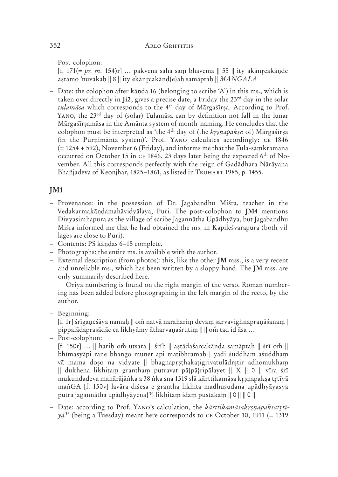– Post-colophon:

[f. 171(= *pr. m.* 154)r] … pakvena saha saṃ bhavema || 55 || ity akāncakāṇḍe aṣṭamo 'nuvākaḥ || 8 || ity ekāncakāṇḍ{e}aḥ samāptaḥ || *MAṄGALA*

 – Date: the colophon after kāṇḍa 16 (belonging to scribe 'A') in this ms., which is taken over directly in **Ji2**, gives a precise date, a Friday the 23rd day in the solar *tulamāsa* which corresponds to the 4th day of Mārgaśīrṣa. According to Prof. YANO, the 23<sup>rd</sup> day of (solar) Tulamāsa can by definition not fall in the lunar Mārgaśīrṣamāsa in the Amānta system of month-naming. He concludes that the colophon must be interpreted as 'the 4th day of (the *kṣṇapakṣa* of) Mārgaśīrṣa (in the Pūrṇimānta system)'. Prof. YANO calculates accordingly: CE 1846 (= 1254 + 592), November 6 (Friday), and informs me that the Tula-saṃkramaṇa occurred on October 15 in CE 1846, 23 days later being the expected 6<sup>th</sup> of November. All this corresponds perfectly with the reign of Gadādhara Nārāyaṇa Bhañjadeva of Keonjhar, 1825-1861, as listed in TRUHART 1985, p. 1455.

# **JM1**

- Provenance: in the possession of Dr. Jagabandhu Miśra, teacher in the Vedakarmakāṇḍamahāvidyālaya, Puri. The post-colophon to **JM4** mentions Divyasiṃhapura as the village of scribe Jagannātha Upādhyāya, but Jagabandhu Miśra informed me that he had obtained the ms. in Kapileśvarapura (both villages are close to Puri).
- Contents: PS kāṇḍas 6–15 complete.
- Photographs: the entire ms. is available with the author.
- External description (from photos): this, like the other **JM** mss., is a very recent and unreliable ms., which has been written by a sloppy hand. The **JM** mss. are only summarily described here.

 Oriya numbering is found on the right margin of the verso. Roman numbering has been added before photographing in the left margin of the recto, by the author.

– Beginning:

[f. 1r] śrīgaṇeśāya namaḥ || omঁ natvā narahariṃ devaṃ sarvavighnapraṇāśanaṃ | pippalādaprasādāc ca likhyāmy ātharvaṇaśrutiṃ || || om̃ tad id āsa ...

– Post-colophon:

 $[f. 150r] ... ||$  hariḥ om̃ utsara  $||$  śrīḥ  $||$  aṣṭādaśarcakāṇḍa samāptaḥ  $||$  śrī om̃  $||$ bhīmasyāpi raṇe bhaṅgo muner api matibhramaḥ | yadi śuddham aśuddhaṃ vā mama doṣo na vidyate || bhagnapṣṭhakaṭigrivatulādṣṭir adhomukhaṃ || dukhena likhitaṃ granthaṃ putravat pā{pā}ripālayet || X || 0 || vīra śrī mukundadeva mahārājāṅka a 38 ṅka sna 1319 slā kārttikamāsa kṛṣṇapakṣa tr̯tīyā maṅGA [f. 150v] lavāra diśeṣa e grantha likhita madhusudana upādhyāyasya putra jagannātha upādhyāyena{\*} likhitaṃ idaṃ pustakaṃ || 0 || || 0 ||

 $-$  Date: according to Prof. YANO's calculation, the *kārttikamāsakrṣṇapakṣatr̯tī* $y\bar{a}^{35}$  (being a Tuesday) meant here corresponds to CE October 10, 1911 (= 1319)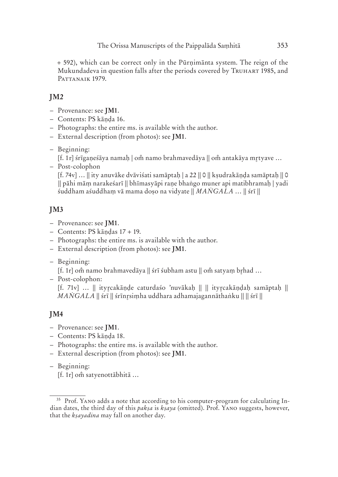+ 592), which can be correct only in the Pūrṇimānta system. The reign of the Mukundadeva in question falls after the periods covered by TRUHART 1985, and PATTANAIK 1979.

# **JM2**

- Provenance: see **JM1**.
- Contents: PS kāṇḍa 16.
- Photographs: the entire ms. is available with the author.
- External description (from photos): see **JM1**.
- Beginning:
	- [f. 1r] śrīgaņeśāya namaḥ | om̃ namo brahmavedāya || om̃ antakāya mrtyave ...
- Post-colophon

[f. 74v] … || ity anuvāke dvāviśati samāptaḥ | a 22 || 0 || kṣudrakāṇḍa samāptaḥ || 0 || pāhi māṃ narakeśarī || bhīmasyāpi raṇe bhaṅgo muner api matibhramaḥ | yadi śuddham aśuddhaṃ vā mama doṣo na vidyate || *MAṄGALA* … || śrī ||

# **JM3**

- Provenance: see **JM1**.
- Contents: PS kāṇḍas 17 + 19.
- Photographs: the entire ms. is available with the author.
- External description (from photos): see **JM1**.
- Beginning:

[f. 1r] om namo brahmavedāya || śrī śubham astu || om satyaṃ br̯had ...

– Post-colophon:

[f. 71v] … || itycakāṇḍe caturdaśo 'nuvākaḥ || || itycakāṇḍaḥ samāptaḥ || *MAṄGALA* || śrī || śrīnsiṃha uddhara adhamajagannāthaṅku || || śrī ||

# **JM4**

- Provenance: see **JM1**.
- Contents: PS kāṇḍa 18.
- Photographs: the entire ms. is available with the author.
- External description (from photos): see **JM1**.
- Beginning:

[f. 1r] om satyenottābhitā ...

<sup>&</sup>lt;sup>35</sup> Prof. YANO adds a note that according to his computer-program for calculating Indian dates, the third day of this *pak*<sup>5</sup>*a* is *k*<sup>5</sup>*aya* (omitted). Prof. YANO suggests, however, that the *kṣayadina* may fall on another day.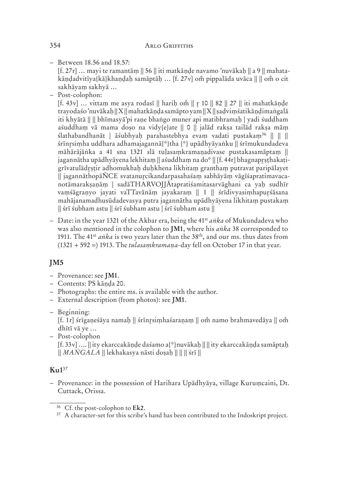– Between 18.56 and 18.57:

 $[f. 27r]$  ... mayi te ramantām  $|| 56 ||$  iti matkānde navamo 'nuvākah  $|| a 9 ||$  mahatakāndadvitīva{kā}khandah samāptāh ... [f. 27 v] om pippalāda uvāca || || om o cit sakhāyaṃ sakhyā …

– Post-colophon:

[f. 43 $v$ ] … vittam me asya rodasī || harih om || r 10 || 82 || 27 || iti mahatkānde trayodaśo 'nuvākaḥ || X || mahatkāṇḍa samāpto yam || X || ṣaḍviṃśatikāṇḍimaṅgalā iti khyātā || || bhīmasyā'pi raṇe bhaṅgo muner api matibhramaḥ | yadi śuddham aśuddhaṃ vā mama doṣo na vidy{e}ate || 0 || jalād rakṣa tailād rakṣa māṃ ślathabandhanāt | āśubhyaḥ parahastebhya evaṃ vadati pustakaṃ36 || || || śrīnsiṃha uddhara adhamajagannā{\*}tha {\*} upādhyāyaṅku || śrīmukundadeva māhārājāṅka a 41 sna 1321 slā tuḷasaṃkramaṇadivase pustakasamāptaṃ || jagannātha upādhyāyena lekhitam || aśuddham na do\* || [f. 44r] bhagnaprsthakatigrīvatulādṣṭir adhomukhaḥ duḥkhena likhitaṃ granthaṃ putravat paripālayet || jagannāthopāÑCE svatanucikandarpasahaśaṃ sabhāyāṃ vāgīśapratimavacanotāmarakṣaṇāṃ | sadāTHARVOJJĀtapratiśamitasarvāghani ca yaḥ sudhīr vaṃśāgraṇyo jayati vaTTavānāṃ jayakaraṃ || 1 || śrīdivyasiṃhapuṛśāsana mahājanamadhusūdadevasya putra jagannātha upādhyāyena likhitaṃ pustakaṃ || śrī śubham astu || śrī śubham astu | śrī śubham astu ||

 – Date: in the year 1321 of the Akbar era, being the 41st *aṅka* of Mukundadeva who was also mentioned in the colophon to **JM1**, where his *aṅka* 38 corresponded to 1911. The 41st *aṅka* is two years later than the 38th, and our ms. thus dates from (1321 + 592 =) 1913. The *tulasaṃkramaṇa*-day fell on October 17 in that year.

# **JM5**

- Provenance: see **JM1**.
- Contents: PS kāṇḍa 20.
- Photographs: the entire ms. is available with the author.
- External description (from photos): see **JM1**.
- Beginning:

[f. 1r] śrīganeśāya namaḥ || śrīnṛsiṃhaśaraṇaṃ || omঁ namo brahmavedāya || omঁ dhītī vā ye …

 – Post-colophon [f. 33 v] …. || ity ekarccakāṇḍe daśamo a{\*}nuvākaḥ || || ity ekarccakāṇḍa samāptaḥ || *MAṄGALA* || lekhakasya nāsti doṣaḥ || || || śrī ||

#### **Ku1**<sup>37</sup>

 $-$  Provenance: in the possession of Harihara Upādhyāya, village Kurumcaini, Dt. Cuttack, Orissa.

<sup>36</sup> Cf. the post-colophon to **Ek2**.

<sup>&</sup>lt;sup>37</sup> A character-set for this scribe's hand has been contributed to the Indoskript project.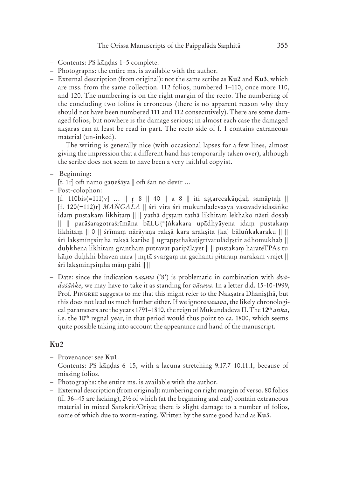- Contents: PS kāṇḍas 1–5 complete.
- Photographs: the entire ms. is available with the author.
- External description (from original): not the same scribe as **Ku2** and **Ku3**, which are mss. from the same collection. 112 folios, numbered 1–110, once more 110, and 120. The numbering is on the right margin of the recto. The numbering of the concluding two folios is erroneous (there is no apparent reason why they should not have been numbered 111 and 112 consecutively). There are some damaged folios, but nowhere is the damage serious; in almost each case the damaged akṣaras can at least be read in part. The recto side of f. 1 contains extraneous material (un-inked).

 The writing is generally nice (with occasional lapses for a few lines, almost giving the impression that a different hand has temporarily taken over), although the scribe does not seem to have been a very faithful copyist.

– Beginning:

[f. 1 r] om namo gaṇeśāya || om śan no devīr ...

– Post-colophon:

[f. 110bis(=111)v] … || 8 || 40 || a 8 || iti aṣṭarccakāṇḍaḥ samāptaḥ || [f. 120(=112)r] *MAṄGALA* || śrī vira śrī mukundadevasya vasavadvādasāṅke idaṃ pustakaṃ likhitaṃ || || yathā dṣṭaṃ tathā likhitaṃ lekhako nāsti doṣaḥ || || parāśaragotraśrīmāna bāLU{\*}ṅkakara upādhyāyena idaṃ pustakaṃ likhitaṃ || 0 || śrīmaṃ nārāyaṇa rakṣā kara arakṣita {ka} bāluṅkakaraku || || śrī lakṣmīnsiṃha rakṣā karibe || ugrapṣṭhakaṭigrīvatulādṣṭir adhomukhaḥ || duḥkhena likhitaṃ granthaṃ putravat paripālayet || || pustakaṃ harateTPAs tu kāņo duḥkhi bhaven nara | mṛtā svargaṃ na gachanti pitaraṃ narakaṃ vrajet || śrī lakṣminsiṃha māṃ pāhi || ||

 – Date: since the indication *vasava* ('8') is problematic in combination with *dvādaśāṅke*, we may have to take it as standing for *vāsava*. In a letter d.d. 15-10-1999, Prof. PINGREE suggests to me that this might refer to the Nakṣatra Dhaniṣṭhā, but this does not lead us much further either. If we ignore *vasava*, the likely chronological parameters are the years 1791–1810, the reign of Mukundadeva II. The 12th *aṅka*, i.e. the  $10<sup>th</sup>$  regnal year, in that period would thus point to ca. 1800, which seems quite possible taking into account the appearance and hand of the manuscript.

#### **Ku2**

- Provenance: see **Ku1**.
- Contents: PS kāṇḍas 6–15, with a lacuna stretching 9.17.7–10.11.1, because of missing folios.
- Photographs: the entire ms. is available with the author.
- External description (from original): numbering on right margin of verso. 80 folios (ff. 36–45 are lacking), 2½ of which (at the beginning and end) contain extraneous material in mixed Sanskrit/Oriya; there is slight damage to a number of folios, some of which due to worm-eating. Written by the same good hand as **Ku3**.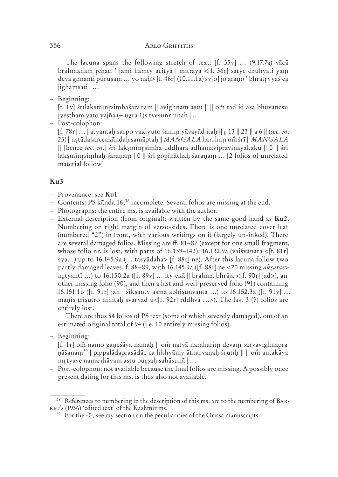#### 356 ARLO GRIFFITHS OF THE PAIPPALA SALE OF THE PAIR OF THE PAIPPALA SALE OF THE PAIPPALA SALE OF THE PAIPPALA

The lacuna spans the following stretch of text: [f. 35y] ... (9.17.7a) vācā brāhmaṇam chati ' jāmi haṃty acityā | mitrāya <[f. 36 r] satye druhyati yaṃ devā ghnanti pūrusam ... yo nah> [f. 46r] (10.11.1a) sv[o] jo arano ' bhrātrvyaś ca jighāṃsati | …

– Beginning:

[f. 1v] śrīlakṣmīnṛsiṃhaśaraṇaṃ || avighnam astu || || om tad id āsa bhuvaneṣu jyestham yato yajña (+ ugra 1)s tvesunrmnah  $| \dots$ 

– Post-colophon:

[f. 78 r] … | atyantaḥ sarpo vaidyuto śaniṃ yāvayād itaḥ || 13 || 23 || a 6 || (*sec. m.* 23) || aṣṭādaśarccakāṇḍaḥ samāptaḥ || *MAṄGALA* hari hiṃ o śrī || *MAṄGALA* || [hence *sec. m.*] śrī lakṣmīnsiṃha uddhara adhamavipravināyakaku || 0 || śrī lakṣmīnsiṃhaḥ śaraṇaṃ | 0 || śrī gopīnāthaḥ śaraṇaṃ … [2 folios of unrelated material follow]

#### **Ku3**

- Provenance: see **Ku1**
- Contents: PS kāṇḍa 16,38 incomplete. Several folios are missing at the end.
- Photographs: the entire ms. is available with the author.
- External description (from original): written by the same good hand as **Ku2**. Numbering on right margin of verso-sides. There is one unrelated cover leaf (numbered "2") in front, with various writings on it (largely un-inked). There are several damaged folios. Missing are ff. 81–87 (except for one small fragment, whose folio nr. is lost, with parts of 16.139–142): 16.132.9a (vaisvānara <[f. 81 $r$ ] sya...) up to 16.145.9a (... tasyādaha> [f. 88r] ne). After this lacuna follow two partly damaged leaves, f. 88–89, with 16.145.9 a ([f. 88 r] ne <20 missing *akṣara*s> nrtyantī ...) to 16.150.2a ([f. 89 $v$ ] ... ity ekā || brahma bhrāja <[f. 90 $r$ ] jad>), another missing folio (90), and then a last and well-preserved folio (91) containing 16.151.1b ([f. 91r] jāḥ | śikṣantv asmā abhiṣunvanta ...) to 16.152.3a ([f. 91v] ... maņis trișutro nihitaḥ svarvad ū<[f. 92r] rddhvā ...>). The last 3 (?) folios are entirely lost.

 There are thus 84 folios of PS text (some of which severely damaged), out of an estimated original total of 94 (i.e. 10 entirely missing folios).

– Beginning:

[f. 1r] om namo ganeśāya namah || om natvā naraharim devam sarvavighnapranāŝanam<sup>39</sup> | pippalādaprasādāc ca likhyāmy ātharvaṇaḥ śrutiḥ || || om̃ antakāya mtyave nama ihāyam astu puṣaḥ sahāsunā | …

 – Post-colophon: not available because the final folios are missing. A possibly once present dating for this ms. is thus also not available.

 $38$  References to numbering in the description of this ms. are to the numbering of BAR-RET's (1936) 'edited text' of the Kashmir ms.

<sup>39</sup> For the *-ŝ*-, see my section on the peculiarities of the Orissa manuscripts.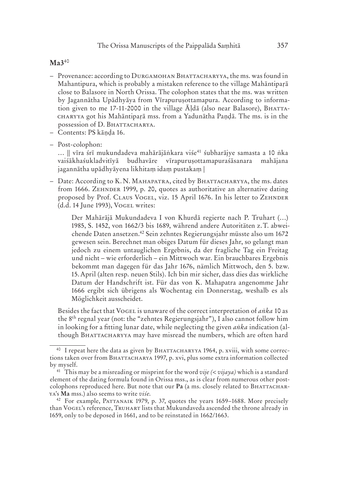#### **Ma3**<sup>40</sup>

- Provenance: according to DURGAMOHAN BHATTACHARYYA, the ms. was found in Mahantipura, which is probably a mistaken reference to the village Mahāntipaṛā close to Balasore in North Orissa. The colophon states that the ms. was written by Jagannātha Upādhyāya from Vīrapuruṣottamapura. According to information given to me 17-11-2000 in the village  $\bar{A}$ lda (also near Balasore), BHATTA got his Mahāntipaṛā mss. from a Yadunātha Paṇḍā. The ms. is in the possession of D. BHATTACHARYA.
- Contents: PS kāṇḍa 16.
- Post-colophon:

 $\ldots$  || vīra śrī mukundadeva mahārājāṅkara viśe<sup>41</sup> śubharājye samasta a 10 ṅka vaiśākhaśukladvitīyā budhavāre vīrapuruṣottamapuraśāsanara mahājana jagannātha upādhyāyena likhitaṃ idaṃ pustakaṃ |

– Date: According to K.N. MAHAPATRA, cited by BHATTACHARYYA, the ms. dates from 1666. ZEHNDER 1999, p. 20, quotes as authoritative an alternative dating proposed by Prof. CLAUS VOGEL, viz. 15 April 1676. In his letter to ZEHNDER (d.d. 14 June 1993), VOGEL writes:

Der Mahārājā Mukundadeva I von Khurdā regierte nach P. Truhart (…) 1985, S. 1452, von 1662/3 bis 1689, während andere Autoritäten z. T. abweichende Daten ansetzen.42 Sein zehntes Regierungsjahr müsste also um 1672 gewesen sein. Berechnet man obiges Datum für dieses Jahr, so gelangt man jedoch zu einem untauglichen Ergebnis, da der fragliche Tag ein Freitag und nicht – wie erforderlich – ein Mittwoch war. Ein brauchbares Ergebnis bekommt man dagegen für das Jahr 1676, nämlich Mittwoch, den 5. bzw. 15. April (alten resp. neuen Stils). Ich bin mir sicher, dass dies das wirkliche Datum der Handschrift ist. Für das von K. Mahapatra angenomme Jahr 1666 ergibt sich übrigens als Wochentag ein Donnerstag, weshalb es als Möglichkeit ausscheidet.

Besides the fact that VOGEL is unaware of the correct interpretation of *anka* 10 as the 8th regnal year (not: the "zehntes Regierungsjahr"), I also cannot follow him in looking for a fitting lunar date, while neglecting the given *aṅka* indication (although BHATTACHARYYA may have misread the numbers, which are often hard

 $40$  I repeat here the data as given by BHATTACHARYYA 1964, p. xviii, with some corrections taken over from BHATTACHARYA 1997, p. xvi, plus some extra information collected by myself.

<sup>&</sup>lt;sup>41</sup> This may be a misreading or misprint for the word *vije*  $(*vijaya*)$  which is a standard element of the dating formula found in Orissa mss., as is clear from numerous other postcolophons reproduced here. But note that our Pa (a ms. closely related to BHATTACHAR-'s **Ma** mss.) also seems to write *viśe*.

<sup>&</sup>lt;sup>42</sup> For example, PATTANAIK 1979, p. 37, quotes the years 1659-1688. More precisely than VOGEL's reference, TRUHART lists that Mukundaveda ascended the throne already in 1659, only to be deposed in 1661, and to be reinstated in 1662/1663.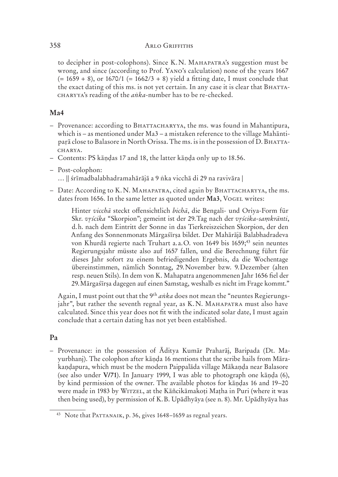#### 358 **ARLO GRIFFITHS**

to decipher in post-colophons). Since K.N. MAHAPATRA's suggestion must be wrong, and since (according to Prof. YANO's calculation) none of the years 1667  $(= 1659 + 8)$ , or  $1670/1 (= 1662/3 + 8)$  yield a fitting date, I must conclude that the exact dating of this ms. is not yet certain. In any case it is clear that BHATTA-'s reading of the *aṅka*-number has to be re-checked.

#### **Ma4**

- Provenance: according to BHATTACHARYYA, the ms. was found in Mahantipura, which is – as mentioned under Ma3 – a mistaken reference to the village Mahāntiparā close to Balasore in North Orissa. The ms. is in the possession of D. BHATTA-CHARYA.

– Contents: PS kāṇḍas 17 and 18, the latter kāṇḍa only up to 18.56.

- Post-colophon: … || śrīmadbalabhadramahārājā a 9 ṅka vicchā di 29 na ravivāra |
- Date: According to K.N. MAHAPATRA, cited again by BHATTACHARYYA, the ms. dates from 1656. In the same letter as quoted under Ma3, VOGEL writes:

Hinter *vicchā* steckt offensichtlich *bichā*, die Bengali- und Oriya-Form für Skr. *vścika* "Skorpion"; gemeint ist der 29. Tag nach der *vścika-saṃkrānti*, d. h. nach dem Eintritt der Sonne in das Tierkreiszeichen Skorpion, der den Anfang des Sonnenmonats Mārgaśīrṣa bildet. Der Mahārājā Balabhadradeva von Khurdā regierte nach Truhart a. a. O. von 1649 bis 1659;<sup>43</sup> sein neuntes Regierungsjahr müsste also auf 1657 fallen, und die Berechnung führt für dieses Jahr sofort zu einem befriedigenden Ergebnis, da die Wochentage übereinstimmen, nämlich Sonntag, 29. November bzw. 9. Dezember (alten resp. neuen Stils). In dem von K. Mahapatra angenommenen Jahr 1656 fiel der 29. Mārgaśīrṣa dagegen auf einen Samstag, weshalb es nicht im Frage kommt."

Again, I must point out that the 9th *aṅka* does not mean the "neuntes Regierungsjahr", but rather the seventh regnal year, as  $K.N. MAHAPATRA$  must also have calculated. Since this year does not fit with the indicated solar date, I must again conclude that a certain dating has not yet been established.

#### **Pa**

 – Provenance: in the possession of Āditya Kumār Praharāj, Baripada (Dt. Mayurbhanj). The colophon after kāṇḍa 16 mentions that the scribe hails from Mārakaṇḍapura, which must be the modern Paippalāda village Mākaṇḍa near Balasore (see also under **V/71**). In January 1999, I was able to photograph one kāṇḍa (6), by kind permission of the owner. The available photos for kāṇḍas 16 and 19–20 were made in 1983 by WITZEL, at the Kāñcikāmakoți Mațha in Puri (where it was then being used), by permission of K. B. Upādhyāya (see n. 8). Mr. Upādhyāya has

<sup>&</sup>lt;sup>43</sup> Note that PATTANAIK, p. 36, gives 1648-1659 as regnal years.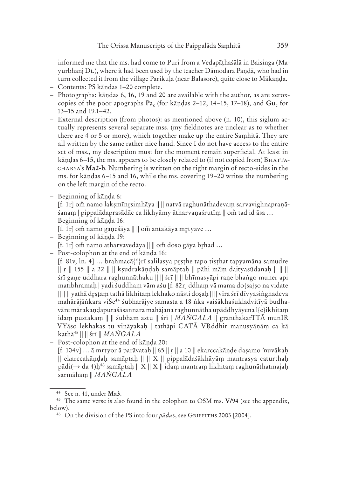informed me that the ms. had come to Puri from a Vedapāṭhaśālā in Baisinga (Mayurbhanj Dt.), where it had been used by the teacher Dāmodara Paṇḍā, who had in turn collected it from the village Parikuḷa (near Balasore), quite close to Mākaṇḍa.

- Contents: PS kāṇḍas 1–20 complete.
- Photographs: kāṇḍas 6, 16, 19 and 20 are available with the author, as are xeroxcopies of the poor apographs  $\mathbf{Pa}_{c}$  (for kandas 2–12, 14–15, 17–18), and  $\mathbf{Gu}_{c}$  for 13–15 and 19.1–42.
- External description (from photos): as mentioned above (n. 10), this siglum actually represents several separate mss. (my fieldnotes are unclear as to whether there are 4 or 5 or more), which together make up the entire Saṃhitā. They are all written by the same rather nice hand. Since I do not have access to the entire set of mss., my description must for the moment remain superficial. At least in kāndas 6–15, the ms. appears to be closely related to (if not copied from) BHATTA-'s **Ma2-b**. Numbering is written on the right margin of recto-sides in the ms. for kāṇḍas 6–15 and 16, while the ms. covering 19–20 writes the numbering on the left margin of the recto.
- Beginning of kāṇḍa 6:

[f. 1 r] o namo lakṣmīnsiṃhāya || || natvā raghunāthadevaṃ sarvavighnapraṇāśanam | pippalādaprasādāc ca likhyāmy ātharvanaśrutīm || om tad id āsa ...

- Beginning of kāṇḍa 16:
	- [f. 1r] om namo gaṇeśāya || || om antakāya mr̥tyave ...
- Beginning of kāṇḍa 19:

 $[f. 1r]$  om namo atharvavedāya  $|| ||$  om doso gāya brhad ...

– Post-colophon at the end of kāṇḍa 16:

[f. 81v, ln. 4] … brahmacā{\*}rī salilasya pṣṭhe tapo tiṣṭhat tapyamāna samudre || || 155 || a 22 || || kṣudrakāṇḍaḥ samāptaḥ || pāhi māṃ daityasūdanaḥ || || || śrī gaṇe uddhara raghunnāthaku || || śrī || || bhīmasyāpi raṇe bhaṅgo muner api matibhramaḥ | yadi śuddhaṃ vām aśu [f. 82 r] ddhaṃ vā mama do{sa}ṣo na vidate || || || yathā dṣṭaṃ tathā likhitaṃ lekhako nāsti doṣaḥ || || vīra śrī dīvyasiṅghadeva mahārājāṅkara viŚe44 śubharājye samasta a 18 ṅka vaiśākhaśukladvitīyā budhavāre mārakaṇḍapuraśāsannara mahājana raghunnātha upāddhyāyena l{e}ikhitaṃ idaṃ pustakaṃ || || śubham astu || śrī | *MAṄGALA* || granthakarTTĀ munIR VYāso lekhakas tu vināyakaḥ | tathāpi CATĀ VŖddhir manuṣyāṇāṃ ca kā kathā45 || || śrī || *MAṄGALA*

– Post-colophon at the end of kāṇḍa 20:

[f. 104 v] … ā mtyor ā parāvataḥ || 65 || || a 10 || ekarccakāṇḍe daṣamo 'nuvākaḥ  $\parallel$  ekarccakāṇḍaḥ samāptaḥ  $\parallel$   $\parallel$  X  $\parallel$  pippalādaśākhāyāṃ mantrasya caturthaḥ pādi( $\rightarrow$  da 4)ḥ<sup>46</sup> samāptaḥ  $\parallel$  X  $\parallel$  X  $\parallel$  idaṃ mantraṃ likhitaṃ raghunāthatmajaḥ sarmāhaṃ || *MAṄGALA*

<sup>44</sup> See n. 41, under **Ma3**.

<sup>45</sup> The same verse is also found in the colophon to OSM ms. **V/94** (see the appendix, below).

<sup>&</sup>lt;sup>46</sup> On the division of the PS into four *pādas*, see GRIFFITHS 2003 [2004].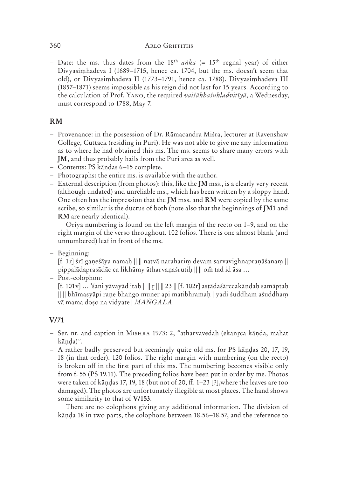#### $360$  ARLO GRIFFITHS

– Date: the ms. thus dates from the 18<sup>th</sup>  $a\nu k$ <sup>*a*</sup> (= 15<sup>th</sup> regnal year) of either Divyasiṃhadeva I (1689–1715, hence ca. 1704, but the ms. doesn't seem that old), or Divyasiṃhadeva II (1773–1791, hence ca. 1788). Divyasiṃhadeva III (1857–1871) seems impossible as his reign did not last for 15 years. According to the calculation of Prof. YANO, the required *vaišākhaśukladvitīvā*, a Wednesday, must correspond to 1788, May 7.

#### **RM**

- Provenance: in the possession of Dr. Rāmacandra Miśra, lecturer at Ravenshaw College, Cuttack (residing in Puri). He was not able to give me any information as to where he had obtained this ms. The ms. seems to share many errors with **JM**, and thus probably hails from the Puri area as well.
- Contents: PS kāṇḍas 6–15 complete.
- Photographs: the entire ms. is available with the author.
- External description (from photos): this, like the **JM** mss., is a clearly very recent (although undated) and unreliable ms., which has been written by a sloppy hand. One often has the impression that the **JM** mss. and **RM** were copied by the same scribe, so similar is the ductus of both (note also that the beginnings of **JM1** and **RM** are nearly identical).

 Oriya numbering is found on the left margin of the recto on 1–9, and on the right margin of the verso throughout. 102 folios. There is one almost blank (and unnumbered) leaf in front of the ms.

– Beginning:

[f. 1 r] śrī gaṇeśāya namaḥ || || natvā narahariṃ devaṃ sarvavighnapraṇāśanaṃ || pippalādaprasādāc ca likhāmy ātharvaṇaśrutiḥ || || om̃ tad id āsa ...

– Post-colophon:

[f. 101 v] … 'śani yāvayād itaḥ || || || || 23 || [f. 102r] aṣṭādaśārccakāṇḍaḥ samāptaḥ || || bhīmasyāpi raṇe bhaṅgo muner api matibhramaḥ | yadi śuddham aśuddhaṃ vā mama doṣo na vidyate | *MAṄGALA*

#### **V/71**

- Ser. nr. and caption in M 1973: 2, "atharvavedaḥ (ekanca kāṇḍa, mahat kāṇḍa)".
- A rather badly preserved but seemingly quite old ms. for PS kāṇḍas 20, 17, 19, 18 (in that order). 120 folios. The right margin with numbering (on the recto) is broken off in the first part of this ms. The numbering becomes visible only from f. 55 (PS 19.11). The preceding folios have been put in order by me. Photos were taken of kāṇḍas 17, 19, 18 (but not of 20, ff. 1–23 [?],where the leaves are too damaged). The photos are unfortunately illegible at most places. The hand shows some similarity to that of **V/153**.

 There are no colophons giving any additional information. The division of kāṇḍa 18 in two parts, the colophons between 18.56–18.57, and the reference to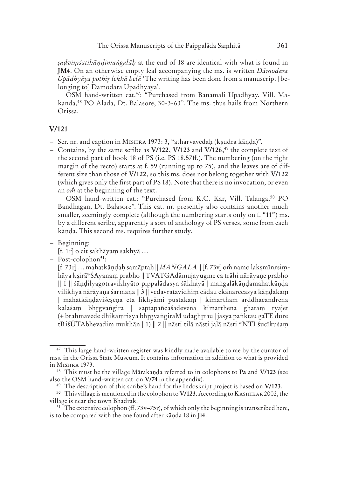*ṣaḍviṃśatikāṇḍimaṅgalāḥ* at the end of 18 are identical with what is found in **JM4**. On an otherwise empty leaf accompanying the ms. is written *Dāmodara Upādhyāya pothi lekhā helā* 'The writing has been done from a manuscript [belonging to] Dāmodara Upādhyāya'.

 OSM hand-written cat.47: "Purchased from Banamali Upadhyay, Vill. Makanda,<sup>48</sup> PO Alada, Dt. Balasore, 30-3-63". The ms. thus hails from Northern Orissa.

#### **V/121**

- Ser. nr. and caption in M 1973: 3, "atharvavedaḥ (kṣudra kāṇḍa)".
- Contains, by the same scribe as **V/122**, **V/123** and **V/126**, 49 the complete text of the second part of book 18 of PS (i.e. PS 18.57 ff.). The numbering (on the right margin of the recto) starts at f. 59 (running up to 75), and the leaves are of different size than those of **V/122**, so this ms. does not belong together with **V/122** (which gives only the first part of PS 18). Note that there is no invocation, or even an  $o\dot{m}$  at the beginning of the text.

OSM hand-written cat.: "Purchased from K.C. Kar, Vill. Talanga,<sup>50</sup> PO Bandhagan, Dt. Balasore". This cat. nr. presently also contains another much smaller, seemingly complete (although the numbering starts only on f. "11") ms. by a different scribe, apparently a sort of anthology of PS verses, some from each kāṇḍa. This second ms. requires further study.

– Beginning:

[f. 1 r] o cit sakhāyaṃ sakhyā …

– Post-colophon51:

[f. 73r] ... mahatkāṇḍaḥ samāptaḥ || *MANGALA* || [f. 73v] om namo lakṣmīnrṣiṃhāya kṣirā\*ŚAyanaṃ prabho || TVATGAdāmujayugme ca trāhi nārāyaṇe prabho || 1 || śāṇḍilyagotravikhyāto pippalādasya śākhayā | maṅgalākāṇḍamahatkāṇḍa vilikhya nārāyaṇa śarmaṇa || 3 || vedavratavidhiṃ cādau ekānarccasya kāṇḍakaṃ | mahatkāṇḍaviśeṣeṇa eta likhyāmi pustakaṃ | kimarthaṃ arddhacandreṇa kalaśaṃ bhgvaṅgirā | saptapañcāśadevena kimarthena ghaṭaṃ tyajet (+ brahmavede dhikāṃriṣyā bhgvaṅgiraM udāghtau | jasya paṅktau gaTE dure tRiśŪTAbhevadiṃ mukhān | 1) || 2 || nāsti tilā nāsti jalā nāsti \*NTI śucīkuśaṃ

<sup>&</sup>lt;sup>47</sup> This large hand-written register was kindly made available to me by the curator of mss. in the Orissa State Museum. It contains information in addition to what is provided in M<sub>ISHRA</sub> 1973.

<sup>48</sup> This must be the village Mārakaṇḍa referred to in colophons to **Pa** and **V/123** (see also the OSM hand-written cat. on **V/74** in the appendix).

<sup>49</sup> The description of this scribe's hand for the Indoskript project is based on **V/123**.

<sup>&</sup>lt;sup>50</sup> This village is mentioned in the colophon to **V/123**. According to KASHIKAR 2002, the village is near the town Bhadrak.

 $51$  The extensive colophon (ff. 73v–75r), of which only the beginning is transcribed here, is to be compared with the one found after kāṇḍa 18 in **Ji4**.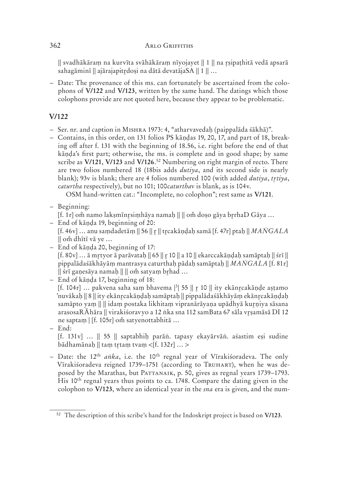## $362$  ARLO GRIFFITHS

|| svadhākāraṃ na kurvīta svāhākāraṃ nīyojayet || 1 || na ṣipaṭhitā vedā apsarā sahagāminī  $\|$  ajārajapitrdosi na dātā devatāja $SA \parallel 1 \parallel ...$ 

 – Date: The provenance of this ms. can fortunately be ascertained from the colophons of **V/122** and **V/123**, written by the same hand. The datings which those colophons provide are not quoted here, because they appear to be problematic.

# **V/122**

- Ser. nr. and caption in M 1973: 4, "atharvavedaḥ (paippalāda śākhā)".
- Contains, in this order, on 131 folios PS kāṇḍas 19, 20, 17, and part of 18, breaking off after f. 131 with the beginning of 18.56, i.e. right before the end of that kāṇḍa's first part; otherwise, the ms. is complete and in good shape; by same scribe as **V/121**, **V/123** and **V/126**. 52 Numbering on right margin of recto. There are two folios numbered 18 (18bis adds *dutiya*, and its second side is nearly blank); 93v is blank; there are 4 folios numbered 100 (with added *dutiya*, *ttiya*, *caturtha* respectively), but no 101; 100*caturtha*v is blank, as is 104v.

OSM hand-written cat.: "Incomplete, no colophon"; rest same as **V/121**.

– Beginning:

 $[f. 1r]$  om namo lakṣmīnr̥ṣiṃhāya namaḥ  $\| \|$  om doṣo gāya br̥rhaD Gāya ...

- End of kāṇḍa 19, beginning of 20: [f. 46 v] … anu saṃdadetāṃ || 56 || || tcakāṇḍaḥ samā [f. 47r] ptaḥ || *MAṄGALA* || o dhītī vā ye …
- End of kāṇḍa 20, beginning of 17:  $[f. 80v]$  ... ā mrtyor ā parāvatah  $|| 65 || r 10 ||$  a 10  $||$  ekarccakāndah samāptah  $|| 5r\overline{i} ||$ pippalādaśākhāyāṃ mantrasya caturthaḥ pādaḥ samāptaḥ || *MAṄGALA* [f. 81 r]  $\|$  śrī ganesāya namah  $\|$   $\|$  om satyam brhad  $\ldots$
- End of kāṇḍa 17, beginning of 18: [f. 104 $r$ ] ... pakvena saha sam bhavema  $\frac{3}{5}$  ||  $r$  10 || ity ekānrcakānde astamo 'nuvākaḥ || 8 || ity ekānṛcakāṇḍaḥ samāptaḥ || pippalādaśākhāyāṃ ekānṛcakāṇḍaḥ samāpto yam || || idam postaka likhitam vipranārāyana upādhyā kurniya sāsana arasosaRĀhāra || virakiśoravyo a 12 ṅka sna 112 samBata 67 sāla vṣamāsā DI 12 ne saptam | [f. 105r] om satyenottabhitā ...

– End:

[f. 131 v] … || 55 || saptabhiḥ parāṅ. tapasy ekayārvāṅ. aśastim eṣi sudine bādhamānaḥ || taṃ tr̥taṃ tvaṃ <[f. 132r] ... >

 – Date: the 12th *aṅka*, i.e. the 10th regnal year of Vīrakiśoradeva. The only Vīrakiśoradeva reigned 1739–1751 (according to TRUHART), when he was deposed by the Marathas, but PATTANAIK, p. 50, gives as regnal years 1739–1793. His 10<sup>th</sup> regnal years thus points to ca. 1748. Compare the dating given in the colophon to **V/123**, where an identical year in the *sna* era is given, and the num-

<sup>52</sup> The description of this scribe's hand for the Indoskript project is based on **V/123**.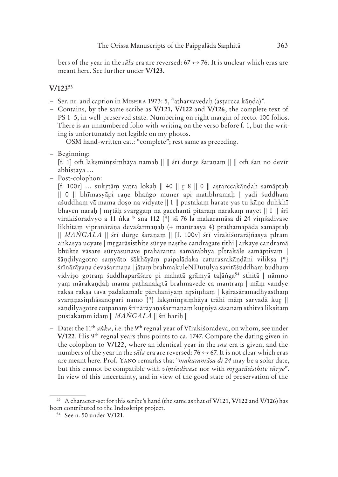bers of the year in the *sala* era are reversed:  $67 \leftrightarrow 76$ . It is unclear which eras are meant here. See further under **V/123**.

#### **V/123**<sup>53</sup>

- Ser. nr. and caption in M 1973: 5, "atharvavedaḥ (aṣṭarcca kāṇḍa)".
- Contains, by the same scribe as **V/121, V/122** and **V/126**, the complete text of PS 1–5, in well-preserved state. Numbering on right margin of recto. 100 folios. There is an unnumbered folio with writing on the verso before f. 1, but the writing is unfortunately not legible on my photos.

OSM hand-written cat.: "complete"; rest same as preceding.

– Beginning:

[f. 1] omঁ lakṣmīnr̪siṃhāya namaḥ || || śrī durge śaraṇaṃ || || omঁ śan no devīr abhistaya ...

– Post-colophon:

[f. 100 r] … suktāṃ yatra lokaḥ || 40 || 8 || 0 || aṣṭarccakāṇḍaḥ samāptaḥ || 0 || bhīmasyāpi raṇe bhaṅgo muner api matibhramaḥ | yadi śuddham aśuddham vā mama doso na vidyate  $\| 1 \|$  pustakam harate yas tu kāno duhkhī bhaven naraḥ | mtāḥ svarggaṃ na gacchanti pitaraṃ narakaṃ nayet || 1 || śrī virakiśoradvyo a 11 ṅka \* sna 112 {\*} sā 76 la makaramāsa di 24 viṃśadivase likhitaṃ vipranārāṇa devaśarmaṇaḥ (+ mantrasya 4) prathamapāda samāptaḥ || *MANGALA* || śrī dūrge śaraṇaṃ || [f. 100v] śrī virakiśorarājñasya rdram aṅkasya ucyate | mgarāsisthite sūrye naṣṭhe candragate tithi | arkaye candramā bhūkte vāsare sūryasunave praharantu samārabhya pĪtrakāle samāptivaṃ | ŝāṇḍilyagotro saṃyāto śākhāyāṃ paipalādaka caturasrakāṇḍāni vilikṣa {\*} śrīnārāyaṇa devaśarmaṇa | jātaṃ brahmakuleNDutulya savitāśuddhaṃ budhaṃ vidvișo gotram śuddhaparāśare pi mahatā grāmyā taļāṅga<sup>54</sup> sthitā | nāmno yaṃ mārakaṇḍaḥ mama paṭhanaktā brahmavede ca mantraṃ | māṃ vandye rakṣa rakṣa tava padakamale pārthanīyaṃ nsiṃhaṃ | kṣirasāramadhyasthaṃ svarnnasimhāsanopari namo {\*} laksmīnrsimhāya trāhi mām sarvadā kur || sāṇḍilyagotre cotpanaṃ śrīnārāyaṇaśarmaṇaṃ kuṇiyā sāsanaṃ sthitvā likṣitaṃ pustakaṃm idaṃ || *MAṄGALA* || śrī hariḥ ||

 – Date: the 11th *aṅka*, i.e. the 9th regnal year of Vīrakiśoradeva, on whom, see under **V/122**. His 9th regnal years thus points to ca. 1747. Compare the dating given in the colophon to **V/122**, where an identical year in the *sna* era is given, and the numbers of the year in the *sala* era are reversed: 76  $\leftrightarrow$  67. It is not clear which eras are meant here. Prof. YANO remarks that "*makaramāsa di* 24 may be a solar date, but this cannot be compatible with *viṃśadivase* nor with *mgarāsisthite sūrye*". In view of this uncertainty, and in view of the good state of preservation of the

<sup>53</sup> A character-set for this scribe's hand (the same as that of **V/121**, **V/122** and **V/126**) has been contributed to the Indoskript project.

<sup>54</sup> See n. 50 under **V/121**.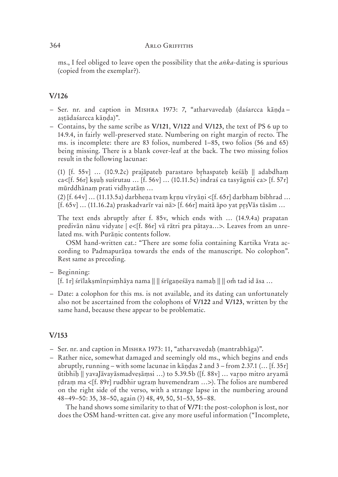ms., I feel obliged to leave open the possibility that the *aṅka*-dating is spurious (copied from the exemplar?).

# **V/126**

- Ser. nr. and caption in M 1973: 7, "atharvavedaḥ (daśarcca kāṇḍa aṣṭādaśarcca kāṇḍa)".
- Contains, by the same scribe as **V/121**, **V/122** and **V/123**, the text of PS 6 up to 14.9.4, in fairly well-preserved state. Numbering on right margin of recto. The ms. is incomplete: there are 83 folios, numbered 1–85, two folios (56 and 65) being missing. There is a blank cover-leaf at the back. The two missing folios result in the following lacunae:

(1) [f. 55v] ... (10.9.2c) prajāpateḥ parastaro brhaspateḥ keśāḥ || adabdhaṃ ca<[f. 56 $r$ ] ksuh suśrutau … [f. 56 $v$ ] … (10.11.5c) indraś ca tasyāgniś ca> [f. 57 $r$ ] mūrddhānaṃ prati vidhyatāṃ …

 $(2)$  [f. 64y] ...  $(11.13.5a)$  darbhena tvam krnu vīrvāni <[f. 65r] darbham bibhrad ... [f. 65 v] … (11.16.2 a) praskadvarīr vai nā> [f. 66 r] maitā āpo yat pṣVās tāsām …

The text ends abruptly after f. 85 $v$ , which ends with  $\ldots$  (14.9.4a) prapatan predivān nānu vidyate | e<[f. 86r] vā rātri pra pātaya...>. Leaves from an unrelated ms. with Purāṇic contents follow.

 OSM hand-written cat.: "There are some folia containing Kartika Vrata according to Padmapurāṇa towards the ends of the manuscript. No colophon". Rest same as preceding.

– Beginning:

[f. 1r] śrīlakṣmīnṛsiṃhāya nama || || śrīgaṇeśāya namaḥ || || omঁ tad id āsa ...

 – Date: a colophon for this ms. is not available, and its dating can unfortunately also not be ascertained from the colophons of **V/122** and **V/123**, written by the same hand, because these appear to be problematic.

# **V/153**

- Ser. nr. and caption in M 1973: 11, "atharvavedaḥ (mantrabhāga)".
- Rather nice, somewhat damaged and seemingly old ms., which begins and ends abruptly, running – with some lacunae in kāṇḍas 2 and 3 – from 2.37.1 (… [f. 35 r] ūtibhiḥ || yavaJāvayāsmadveṣāṃsi …) to 5.39.5 b ([f. 88 v] … vaṇo mitro aryamā rdram ma <[f. 89r] rudbhir ugram huvemendram ...>). The folios are numbered on the right side of the verso, with a strange lapse in the numbering around 48–49–50: 35, 38–50, again (?) 48, 49, 50, 51–53, 55–88.

 The hand shows some similarity to that of **V/71**: the post-colophon is lost, nor does the OSM hand-written cat. give any more useful information ("Incomplete,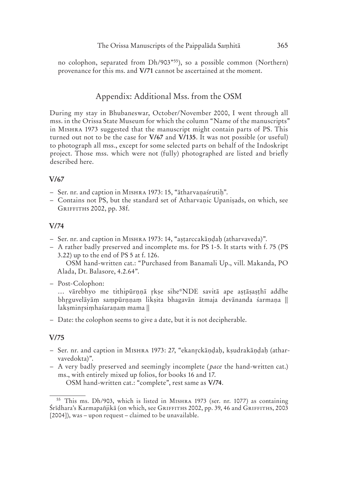no colophon, separated from Dh/903"55), so a possible common (Northern) provenance for this ms. and **V/71** cannot be ascertained at the moment.

### Appendix: Additional Mss. from the OSM

During my stay in Bhubaneswar, October/November 2000, I went through all mss. in the Orissa State Museum for which the column "Name of the manuscripts" in M 1973 suggested that the manuscript might contain parts of PS. This turned out not to be the case for **V/67** and **V/135**. It was not possible (or useful) to photograph all mss., except for some selected parts on behalf of the Indoskript project. Those mss. which were not (fully) photographed are listed and briefly described here.

#### **V/67**

- Ser. nr. and caption in M 1973: 15, "ātharvaṇaśrutiḥ".
- Contains not PS, but the standard set of Atharvaṇic Upaniṣads, on which, see GRIFFITHS 2002, pp. 38f.

#### **V/74**

- Ser. nr. and caption in M 1973: 14, "aṣṭarccakāṇḍaḥ (atharvaveda)".
- A rather badly preserved and incomplete ms. for PS 1-5. It starts with f. 75 (PS 3.22) up to the end of PS 5 at f. 126.

 OSM hand-written cat.: "Purchased from Banamali Up., vill. Makanda, PO Alada, Dt. Balasore, 4.2.64".

– Post-Colophon:

… vārebhyo me tithipūrṇṇā kṣe sihe\*NDE savitā ape aṣṭāṣaṣṭhī addhe bhguvelāyāṃ saṃpūrṇṇaṃ likṣita bhagavān ātmaja devānanda śarmaṇa || laksminrsimhaśaranam mama ||

– Date: the colophon seems to give a date, but it is not decipherable.

#### **V/75**

- Ser. nr. and caption in M 1973: 27, "ekanckāṇḍaḥ, kṣudrakāṇḍaḥ (atharvavedokta)".
- A very badly preserved and seemingly incomplete ( *pace* the hand-written cat.) ms., with entirely mixed up folios, for books 16 and 17. OSM hand-written cat.: "complete", rest same as **V/74**.

<sup>&</sup>lt;sup>55</sup> This ms. Dh/903, which is listed in M<sub>ISHRA</sub> 1973 (ser. nr. 1077) as containing Śrīdhara's Karmapañjikā (on which, see GRIFFITHS 2002, pp. 39, 46 and GRIFFITHS, 2003 [2004]), was – upon request – claimed to be unavailable.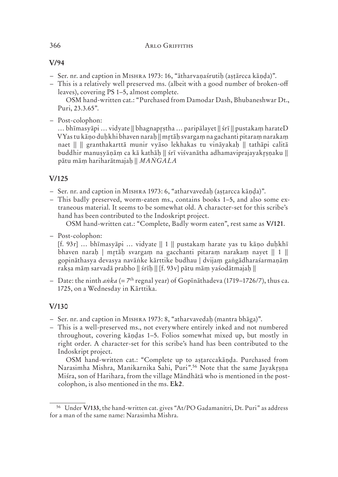### **V/94**

- Ser. nr. and caption in M 1973: 16, "ātharvaṇaśrutiḥ (aṣṭārcca kāṇḍa)".
- This is a relatively well preserved ms. (albeit with a good number of broken-off leaves), covering PS 1–5, almost complete.

 OSM hand-written cat.: "Purchased from Damodar Dash, Bhubaneshwar Dt., Puri, 23.3.65".

– Post-colophon:

… bhīmasyāpi … vidyate || bhagnapṣtha … paripālayet || śrī || pustakaṃ harateD VYas tu kāṇo duḥkhi bhaven naraḥ || mtāḥ svargaṃ na gachanti pitaraṃ narakaṃ naet || || granthakarttā munir vyāso lekhakas tu vināyakaḥ || tathāpi calitā buddhir manuṣyāṇāṃ ca kā kathāḥ || śrī viśvanātha adhamaviprajayakṣṇaku || pātu māṃ hariharātmajaḥ || *MAṄGALA*

# **V/125**

- Ser. nr. and caption in M 1973: 6, "atharvavedaḥ (aṣṭarcca kāṇḍa)".
- This badly preserved, worm-eaten ms., contains books 1–5, and also some extraneous material. It seems to be somewhat old. A character-set for this scribe's hand has been contributed to the Indoskript project.

OSM hand-written cat.: "Complete, Badly worm eaten", rest same as **V/121**.

– Post-colophon:

[f. 93 $r$ ] … bhīmasyāpi … vidyate  $|| 1 ||$  pustakam harate yas tu kāno duhkhī bhaven naraḥ | mtāḥ svargaṃ na gacchanti pitaraṃ narakaṃ nayet || 1 || gopināthasya devasya navāṅke kārttike budhau | dvijaṃ gaṅgādharaśarmaṇāṃ rakṣa māṃ sarvadā prabho || śrīḥ || [f. 93 v] pātu māṃ yaśodātmajaḥ ||

 – Date: the ninth *aṅka* (= 7th regnal year) of Gopīnāthadeva (1719–1726/7), thus ca. 1725, on a Wednesday in Kārttika.

## **V/130**

- Ser. nr. and caption in M 1973: 8, "atharvavedaḥ (mantra bhāga)".
- This is a well-preserved ms., not everywhere entirely inked and not numbered throughout, covering kāṇḍas 1–5. Folios somewhat mixed up, but mostly in right order. A character-set for this scribe's hand has been contributed to the Indoskript project.

 OSM hand-written cat.: "Complete up to aṣṭarccakāṇḍa. Purchased from Narasimha Mishra, Manikarnika Sahi, Puri".<sup>56</sup> Note that the same Jayakrsna Miśra, son of Harihara, from the village Māndhātā who is mentioned in the postcolophon, is also mentioned in the ms. **Ek2**.

<sup>56</sup> Under **V/133**, the hand-written cat. gives "At/PO Gadamanitri, Dt. Puri" as address for a man of the same name: Narasimha Mishra.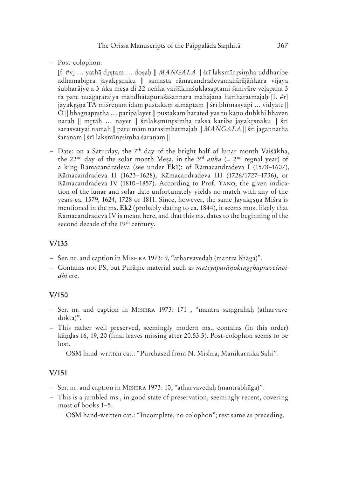– Post-colophon:

[f. #v] … yathā dṣṭaṃ … doṣaḥ || *MAṄGALA* || śrī lakṣmīnsiṃha uddharibe adhamabipra jayakrsnaku || samasta rāmacandradevamahārājāṅkara vijaya śubharājye a 3 ṅka meṣa di 22 neṅka vaiśākhaśuklasaptami śanivāre veḷapaha 3 ra pare nuāgaṛarājya māndhātāpuraśāsannara mahājana hariharātmajaḥ [f. #r] jayakrsna TA miśrenam idam pustakam samāptam || śrī bhīmasyāpi ... vidyate || O || bhagnapṣṭha … paripālayet || pustakaṃ harated yas tu kāṇo duḥkhi bhaven narah || mrtāh ... nayet || śrīlaksmīnrsimha raksā karibe jayakrsnaku || śrī sarasvatyai namaḥ || pātu māṃ narasiṃhātmajaḥ || *MAṄGALA* || śrī jagannātha śaraṇaṃ | śrī lakṣmīnsiṃha śaraṇaṃ ||

– Date: on a Saturday, the  $7<sup>th</sup>$  day of the bright half of lunar month Vaisakha, the 22<sup>nd</sup> day of the solar month Mesa, in the  $3^{rd}$  *anka* (=  $2^{nd}$  regnal year) of a king Rāmacandradeva (see under **Ek1**): of Rāmacandradeva I (1578–1607), Rāmacandradeva II (1623–1628), Rāmacandradeva III (1726/1727–1736), or Rāmacandradeva IV (1810–1857). According to Prof. YANO, the given indication of the lunar and solar date unfortunately yields no match with any of the years ca. 1579, 1624, 1728 or 1811. Since, however, the same Jayakrsna Miśra is mentioned in the ms. **Ek2** (probably dating to ca. 1844), it seems most likely that Rāmacandradeva IV is meant here, and that this ms. dates to the beginning of the second decade of the 19<sup>th</sup> century.

## **V/135**

- Ser. nr. and caption in M 1973: 9, "atharvavedaḥ (mantra bhāga)".
- Contains not PS, but Purāṇic material such as *matsyapurāṇoktaghapraveśavidhi* etc.

#### **V/150**

- Ser. nr. and caption in M 1973: 171 , "mantra saṃgrahaḥ (atharvavedokta)".
- This rather well preserved, seemingly modern ms., contains (in this order) kāṇḍas 16, 19, 20 (final leaves missing after 20.53.5). Post-colophon seems to be lost.

OSM hand-written cat.: "Purchased from N. Mishra, Manikarnika Sahi".

#### **V/151**

- Ser. nr. and caption in M 1973: 10, "atharvavedaḥ (mantrabhāga)".
- This is a jumbled ms., in good state of preservation, seemingly recent, covering most of books 1–5.

OSM hand-written cat.: "Incomplete, no colophon"; rest same as preceding.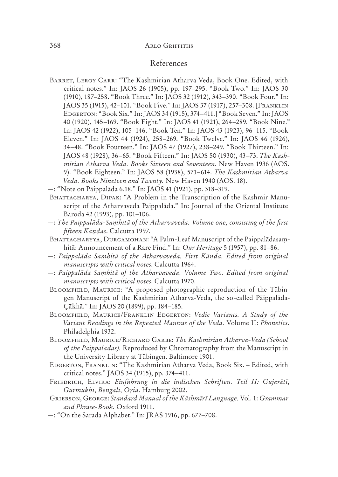#### $368$  ARLO GRIFFITHS

## References

- BARRET, LEROY CARR: "The Kashmirian Atharva Veda, Book One. Edited, with critical notes." In: JAOS 26 (1905), pp. 197–295. "Book Two." In: JAOS 30 (1910), 187–258. "Book Three." In: JAOS 32 (1912), 343–390. "Book Four." In: JAOS 35 (1915), 42-101. "Book Five." In: JAOS 37 (1917), 257-308. [FRANKLIN EDGERTON: "Book Six." In: JAOS 34 (1915), 374-411.] "Book Seven." In: JAOS 40 (1920), 145–169. "Book Eight." In: JAOS 41 (1921), 264–289. "Book Nine." In: JAOS 42 (1922), 105–146. "Book Ten." In: JAOS 43 (1923), 96–115. "Book Eleven." In: JAOS 44 (1924), 258–269. "Book Twelve." In: JAOS 46 (1926), 34–48. "Book Fourteen." In: JAOS 47 (1927), 238–249. "Book Thirteen." In: JAOS 48 (1928), 36–65. "Book Fifteen." In: JAOS 50 (1930), 43–73. *The Kashmirian Atharva Veda. Books Sixteen and Seventeen*. New Haven 1936 (AOS. 9). "Book Eighteen." In: JAOS 58 (1938), 571–614. *The Kashmirian Atharva Veda. Books Nineteen and Twenty.* New Haven 1940 (AOS. 18).
- —: "Note on Pāippalāda 6.18." In: JAOS 41 (1921), pp. 318–319.
- BHATTACHARYA, DIPAK: "A Problem in the Transcription of the Kashmir Manuscript of the Atharvaveda Paippalāda." In: Journal of the Oriental Institute Baroda 42 (1993), pp. 101–106.
- —: *The Paippalāda-Saṃhitā of the Atharvaveda. Volume one, consisting of the first fifteen Kāṇḍas*. Calcutta 1997.
- BHATTACHARYYA, DURGAMOHAN: "A Palm-Leaf Manuscript of the Paippalādasamhitā: Announcement of a Rare Find." In: *Our Heritage* 5 (1957), pp. 81–86.
- —: *Paippalāda Saṃhitā of the Atharvaveda. First Kāṇḍa. Edited from original manuscripts with critical notes*. Calcutta 1964.
- —: *Paippalāda Saṃhitā of the Atharvaveda. Volume Two. Edited from original manuscripts with critical notes*. Calcutta 1970.
- BLOOMFIELD, MAURICE: "A proposed photographic reproduction of the Tübingen Manuscript of the Kashmirian Atharva-Veda, the so-called Pāippalāda-Çākhā." In: JAOS 20 (1899), pp. 184–185.
- BLOOMFIELD, MAURICE/FRANKLIN EDGERTON: Vedic Variants. A Study of the *Variant Readings in the Repeated Mantras of the Veda.* Volume II: *Phonetics*. Philadelphia 1932.
- BLOOMFIELD, MAURICE/RICHARD GARBE: The Kashmirian Atharva-Veda (School *of the Pāippalādas).* Reproduced by Chromatography from the Manuscript in the University Library at Tübingen. Baltimore 1901.
- EDGERTON, FRANKLIN: "The Kashmirian Atharva Veda, Book Six. Edited, with critical notes." JAOS 34 (1915), pp. 374–411.
- F, E: *Einführung in die indischen Schriften. Teil II: Gujarātī, Gurmukhī, Bengālī, Oiā*. Hamburg 2002.
- G, G: *Standard Manual of the Kāshmīrī Language.* Vol. 1: *Grammar and Phrase-Book.* Oxford 1911.
- —: "On the Sarada Alphabet." In: JRAS 1916, pp. 677–708.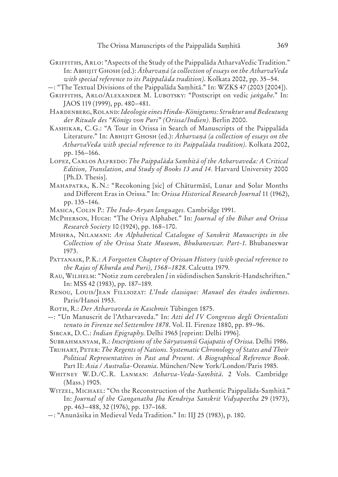- GRIFFITHS, ARLO: "Aspects of the Study of the Paippalāda AtharvaVedic Tradition." In: A G (ed.): *Ātharvaṇá (a collection of essays on the AtharvaVeda with special reference to its Paippalāda tradition)*. Kolkata 2002, pp. 35–54.
- —: "The Textual Divisions of the Paippalāda Saṃhitā." In: WZKS 47 (2003 [2004]).
- GRIFFITHS, ARLO/ALEXANDER M. LUBOTSKY: "Postscript on vedic *jangahe*." In: JAOS 119 (1999), pp. 480–481.
- H, R: *Ideologie eines Hindu-Königtums: Struktur undBedeutung der Rituale des "Königs von Puri" (Orissa/Indien).* Berlin 2000.
- KASHIKAR, C. G.: "A Tour in Orissa in Search of Manuscripts of the Paippalāda Literature." In: A G (ed.): *Ātharvaṇá (a collection of essays on the AtharvaVeda with special reference to its Paippalāda tradition)*. Kolkata 2002, pp. 156–166.
- L, C A: *The Paippalāda Saṃhitā of the Atharvaveda: A Critical Edition, Translation, and Study of Books 13 and 14.* Harvard University 2000 [Ph.D. Thesis].
- MAHAPATRA, K.N.: "Recokoning [sic] of Chāturmāsī, Lunar and Solar Months and Different Eras in Orissa." In: *Orissa Historical Research Journal* 11 (1962), pp. 135–146.

MASICA, COLIN P.: The Indo-Aryan languages. Cambridge 1991.

- MP, H: "The Oriya Alphabet." In: *Journal of the Bihar and Orissa Research Society* 10 (1924), pp. 168–170.
- M, N: *An Alphabetical Catalogue of Sanskrit Manuscripts in the Collection of the Orissa State Museum, Bhubaneswar. Part-1*. Bhubaneswar 1973.
- P, P. K.: *A Forgotten Chapter of Orissan History (with special reference to the Rajas of Khurda and Puri), 1568–1828*. Calcutta 1979.
- R, W: "Notiz zum cerebralen *ḷ* in südindischen Sanskrit-Handschriften." In: MSS 42 (1983), pp. 187–189.
- RENOU, LOUIS/JEAN FILLIOZAT: L'Inde classique: Manuel des études indiennes. Paris/Hanoi 1953.
- R, R.: *Der Atharvaveda in Kaschmir*. Tübingen 1875.
- —: "Un Manuscrit de l'Atharvaveda." In: *Atti del IV Congresso degli Orientalisti tenuto in Firenze nel Settembre 1878*. Vol. II. Firenze 1880, pp. 89–96.
- S, D. C.: *Indian Epigraphy*. Delhi 1965 [reprint: Delhi 1996].
- S, R.: *Inscriptions of the Sūryavaṃśi Gajapatis of Orissa*. Delhi 1986.
- T, P: *The Regents of Nations. Systematic Chronology of States and Their Political Representatives in Past and Present. A Biographical Reference Book.* Part II: *Asia / Australia-Oceania*. München/New York/London/Paris 1985.
- WHITNEY W.D./C.R. LANMAN: Atharva-Veda-Samhitā. 2 Vols. Cambridge (Mass.) 1905.
- WITZEL, MICHAEL: "On the Reconstruction of the Authentic Paippalāda-Samhitā." In: *Journal of the Ganganatha Jha Kendriya Sanskrit Vidyapeetha* 29 (1973), pp. 463–488, 32 (1976), pp. 137–168.
- —: "Anunāsika in Medieval Veda Tradition." In: IIJ 25 (1983), p. 180.